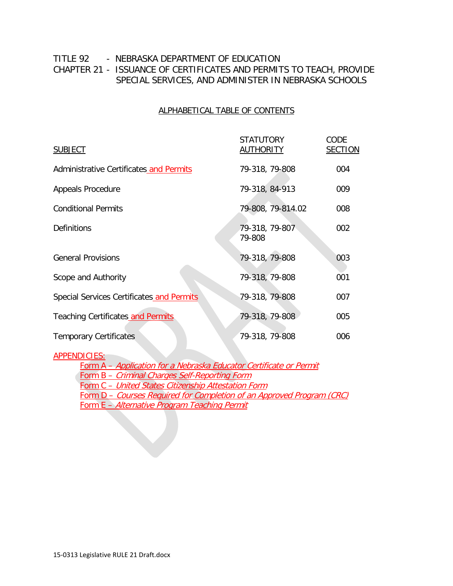### TITLE 92 - NEBRASKA DEPARTMENT OF EDUCATION CHAPTER 21 - ISSUANCE OF CERTIFICATES AND PERMITS TO TEACH, PROVIDE SPECIAL SERVICES, AND ADMINISTER IN NEBRASKA SCHOOLS

#### ALPHABETICAL TABLE OF CONTENTS

| <b>SUBJECT</b>                            | <b>STATUTORY</b><br><b>AUTHORITY</b> | CODE<br><b>SECTION</b> |
|-------------------------------------------|--------------------------------------|------------------------|
| Administrative Certificates and Permits   | 79-318, 79-808                       | 004                    |
| <b>Appeals Procedure</b>                  | 79-318, 84-913                       | 009                    |
| <b>Conditional Permits</b>                | 79-808, 79-814.02                    | 008                    |
| <b>Definitions</b>                        | 79-318, 79-807<br>79-808             | 002                    |
| <b>General Provisions</b>                 | 79-318, 79-808                       | 003                    |
| Scope and Authority                       | 79-318, 79-808                       | 001                    |
| Special Services Certificates and Permits | 79-318, 79-808                       | 007                    |
| <b>Teaching Certificates_and Permits</b>  | 79-318, 79-808                       | 005                    |
| <b>Temporary Certificates</b>             | 79-318, 79-808                       | 006                    |

#### APPENDICIES:

Form A – Application for a Nebraska Educator Certificate or Permit Form B – Criminal Charges Self-Reporting Form Form C – United States Citizenship Attestation Form Form D – Courses Required for Completion of an Approved Program (CRC) Form E – Alternative Program Teaching Permit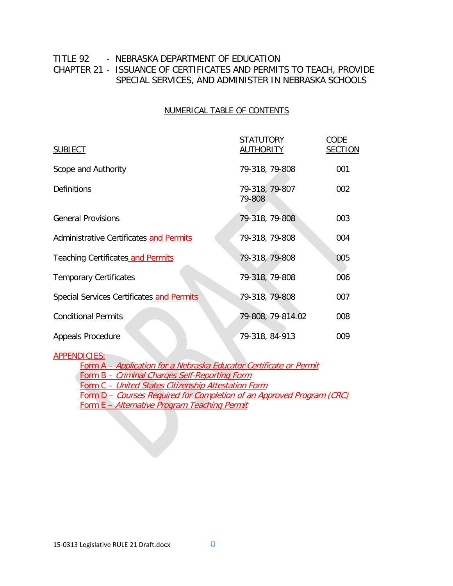### TITLE 92 - NEBRASKA DEPARTMENT OF EDUCATION CHAPTER 21 - ISSUANCE OF CERTIFICATES AND PERMITS TO TEACH, PROVIDE SPECIAL SERVICES, AND ADMINISTER IN NEBRASKA SCHOOLS

#### NUMERICAL TABLE OF CONTENTS

| <b>SUBJECT</b>                            | <b>STATUTORY</b><br><b>AUTHORITY</b> | CODE<br><b>SECTION</b> |
|-------------------------------------------|--------------------------------------|------------------------|
| Scope and Authority                       | 79-318, 79-808                       | 001                    |
| <b>Definitions</b>                        | 79-318, 79-807<br>79-808             | 002                    |
| <b>General Provisions</b>                 | 79-318, 79-808                       | 003                    |
| Administrative Certificates and Permits   | 79-318, 79-808                       | 004                    |
| Teaching Certificates and Permits         | 79-318, 79-808                       | 005                    |
| <b>Temporary Certificates</b>             | 79-318, 79-808                       | 006                    |
| Special Services Certificates and Permits | 79-318, 79-808                       | 007                    |
| <b>Conditional Permits</b>                | 79-808, 79-814.02                    | 008                    |
| <b>Appeals Procedure</b>                  | 79-318, 84-913                       | 009                    |

#### APPENDICIES:

Form A – Application for a Nebraska Educator Certificate or Permit Form B – Criminal Charges Self-Reporting Form Form C – United States Citizenship Attestation Form Form D – Courses Required for Completion of an Approved Program (CRC) Form E – Alternative Program Teaching Permit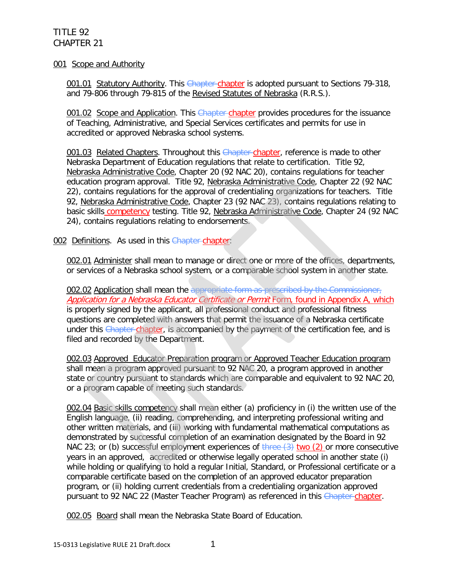#### 001 Scope and Authority

001.01 Statutory Authority. This Chapter chapter is adopted pursuant to Sections 79-318, and 79-806 through 79-815 of the Revised Statutes of Nebraska (R.R.S.).

001.02 Scope and Application. This Chapter-chapter provides procedures for the issuance of Teaching, Administrative, and Special Services certificates and permits for use in accredited or approved Nebraska school systems.

001.03 Related Chapters. Throughout this Chapter-chapter, reference is made to other Nebraska Department of Education regulations that relate to certification. Title 92, Nebraska Administrative Code, Chapter 20 (92 NAC 20), contains regulations for teacher education program approval. Title 92, Nebraska Administrative Code, Chapter 22 (92 NAC 22), contains regulations for the approval of credentialing organizations for teachers. Title 92, Nebraska Administrative Code, Chapter 23 (92 NAC 23), contains regulations relating to basic skills competency testing. Title 92, Nebraska Administrative Code, Chapter 24 (92 NAC 24), contains regulations relating to endorsements.

002 Definitions. As used in this Chapter chapter:

002.01 Administer shall mean to manage or direct one or more of the offices, departments, or services of a Nebraska school system, or a comparable school system in another state.

002.02 Application shall mean the appropriate form as prescribed by the Commissioner, Application for a Nebraska Educator Certificate or Permit Form, found in Appendix A, which is properly signed by the applicant, all professional conduct and professional fitness questions are completed with answers that permit the issuance of a Nebraska certificate under this Chapter chapter, is accompanied by the payment of the certification fee, and is filed and recorded by the Department.

002.03 Approved Educator Preparation program or Approved Teacher Education program shall mean a program approved pursuant to 92 NAC 20, a program approved in another state or country pursuant to standards which are comparable and equivalent to 92 NAC 20, or a program capable of meeting such standards.

002.04 Basic skills competency shall mean either (a) proficiency in (i) the written use of the English language, (ii) reading, comprehending, and interpreting professional writing and other written materials, and (iii) working with fundamental mathematical computations as demonstrated by successful completion of an examination designated by the Board in 92 NAC 23; or (b) successful employment experiences of  $\frac{1}{2}$  two (2) or more consecutive years in an approved, accredited or otherwise legally operated school in another state (i) while holding or qualifying to hold a regular Initial, Standard, or Professional certificate or a comparable certificate based on the completion of an approved educator preparation program, or (ii) holding current credentials from a credentialing organization approved pursuant to 92 NAC 22 (Master Teacher Program) as referenced in this Chapter chapter.

002.05 Board shall mean the Nebraska State Board of Education.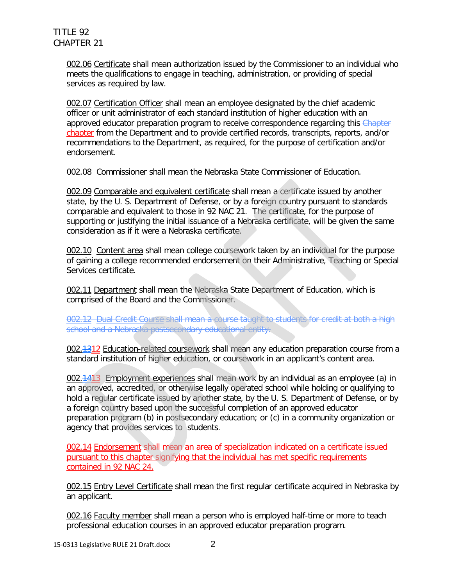002.06 Certificate shall mean authorization issued by the Commissioner to an individual who meets the qualifications to engage in teaching, administration, or providing of special services as required by law.

002.07 Certification Officer shall mean an employee designated by the chief academic officer or unit administrator of each standard institution of higher education with an approved educator preparation program to receive correspondence regarding this Chapter chapter from the Department and to provide certified records, transcripts, reports, and/or recommendations to the Department, as required, for the purpose of certification and/or endorsement.

002.08 Commissioner shall mean the Nebraska State Commissioner of Education.

002.09 Comparable and equivalent certificate shall mean a certificate issued by another state, by the U. S. Department of Defense, or by a foreign country pursuant to standards comparable and equivalent to those in 92 NAC 21. The certificate, for the purpose of supporting or justifying the initial issuance of a Nebraska certificate, will be given the same consideration as if it were a Nebraska certificate.

002.10 Content area shall mean college coursework taken by an individual for the purpose of gaining a college recommended endorsement on their Administrative, Teaching or Special Services certificate.

002.11 Department shall mean the Nebraska State Department of Education, which is comprised of the Board and the Commissioner.

002.12 Dual Credit Course shall mean a course taught to students for credit at both a high school and a Nebraska postsecondary educational entity.

002.<del>1312</del> Education-related coursework shall mean any education preparation course from a standard institution of higher education, or coursework in an applicant's content area.

002.<sup>1413</sup> Employment experiences shall mean work by an individual as an employee (a) in an approved, accredited, or otherwise legally operated school while holding or qualifying to hold a regular certificate issued by another state, by the U. S. Department of Defense, or by a foreign country based upon the successful completion of an approved educator preparation program (b) in postsecondary education; or (c) in a community organization or agency that provides services to students.

002.14 Endorsement shall mean an area of specialization indicated on a certificate issued pursuant to this chapter signifying that the individual has met specific requirements contained in 92 NAC 24.

002.15 Entry Level Certificate shall mean the first regular certificate acquired in Nebraska by an applicant.

002.16 Faculty member shall mean a person who is employed half-time or more to teach professional education courses in an approved educator preparation program.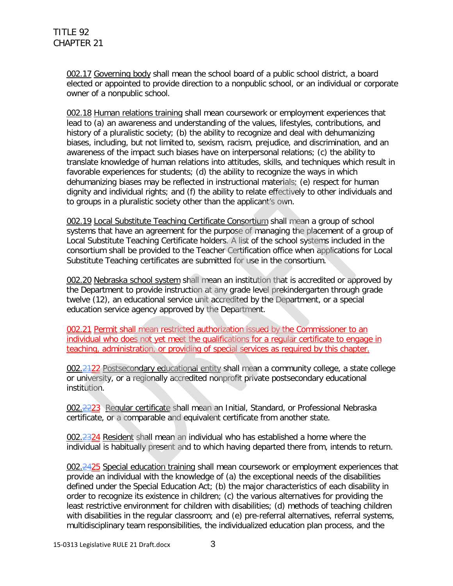002.17 Governing body shall mean the school board of a public school district, a board elected or appointed to provide direction to a nonpublic school, or an individual or corporate owner of a nonpublic school.

002.18 Human relations training shall mean coursework or employment experiences that lead to (a) an awareness and understanding of the values, lifestyles, contributions, and history of a pluralistic society; (b) the ability to recognize and deal with dehumanizing biases, including, but not limited to, sexism, racism, prejudice, and discrimination, and an awareness of the impact such biases have on interpersonal relations; (c) the ability to translate knowledge of human relations into attitudes, skills, and techniques which result in favorable experiences for students; (d) the ability to recognize the ways in which dehumanizing biases may be reflected in instructional materials; (e) respect for human dignity and individual rights; and (f) the ability to relate effectively to other individuals and to groups in a pluralistic society other than the applicant's own.

002.19 Local Substitute Teaching Certificate Consortium shall mean a group of school systems that have an agreement for the purpose of managing the placement of a group of Local Substitute Teaching Certificate holders. A list of the school systems included in the consortium shall be provided to the Teacher Certification office when applications for Local Substitute Teaching certificates are submitted for use in the consortium.

002.20 Nebraska school system shall mean an institution that is accredited or approved by the Department to provide instruction at any grade level prekindergarten through grade twelve (12), an educational service unit accredited by the Department, or a special education service agency approved by the Department.

002.21 Permit shall mean restricted authorization issued by the Commissioner to an individual who does not yet meet the qualifications for a regular certificate to engage in teaching, administration, or providing of special services as required by this chapter.

002.2122 Postsecondary educational entity shall mean a community college, a state college or university, or a regionally accredited nonprofit private postsecondary educational institution.

002.<del>22</del>23 Regular certificate shall mean an Initial, Standard, or Professional Nebraska certificate, or a comparable and equivalent certificate from another state.

002.2324 Resident shall mean an individual who has established a home where the individual is habitually present and to which having departed there from, intends to return.

002.2425 Special education training shall mean coursework or employment experiences that provide an individual with the knowledge of (a) the exceptional needs of the disabilities defined under the Special Education Act; (b) the major characteristics of each disability in order to recognize its existence in children; (c) the various alternatives for providing the least restrictive environment for children with disabilities; (d) methods of teaching children with disabilities in the regular classroom; and (e) pre-referral alternatives, referral systems, multidisciplinary team responsibilities, the individualized education plan process, and the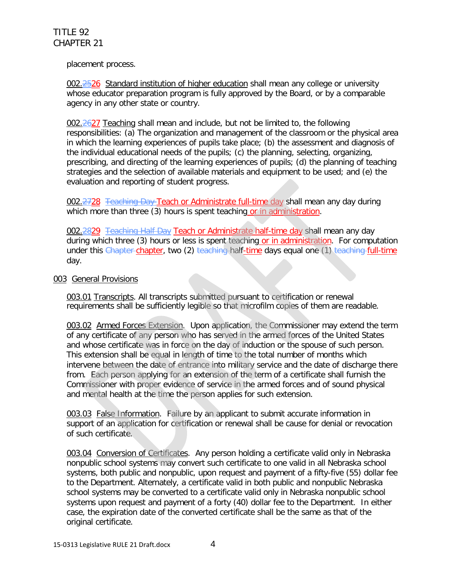placement process.

002.<del>2526</del> Standard institution of higher education shall mean any college or university whose educator preparation program is fully approved by the Board, or by a comparable agency in any other state or country.

002.2627 Teaching shall mean and include, but not be limited to, the following responsibilities: (a) The organization and management of the classroom or the physical area in which the learning experiences of pupils take place; (b) the assessment and diagnosis of the individual educational needs of the pupils; (c) the planning, selecting, organizing, prescribing, and directing of the learning experiences of pupils; (d) the planning of teaching strategies and the selection of available materials and equipment to be used; and (e) the evaluation and reporting of student progress.

002.2728 Teaching Day Teach or Administrate full-time day shall mean any day during which more than three (3) hours is spent teaching or in administration.

002.2829 Teaching Half Day Teach or Administrate half-time day shall mean any day during which three (3) hours or less is spent teaching or in administration. For computation under this Chapter chapter, two (2) teaching half-time days equal one (1) teaching full-time day.

#### 003 General Provisions

003.01 Transcripts. All transcripts submitted pursuant to certification or renewal requirements shall be sufficiently legible so that microfilm copies of them are readable.

003.02 Armed Forces Extension. Upon application, the Commissioner may extend the term of any certificate of any person who has served in the armed forces of the United States and whose certificate was in force on the day of induction or the spouse of such person. This extension shall be equal in length of time to the total number of months which intervene between the date of entrance into military service and the date of discharge there from. Each person applying for an extension of the term of a certificate shall furnish the Commissioner with proper evidence of service in the armed forces and of sound physical and mental health at the time the person applies for such extension.

003.03 False Information. Failure by an applicant to submit accurate information in support of an application for certification or renewal shall be cause for denial or revocation of such certificate.

003.04 Conversion of Certificates. Any person holding a certificate valid only in Nebraska nonpublic school systems may convert such certificate to one valid in all Nebraska school systems, both public and nonpublic, upon request and payment of a fifty-five (55) dollar fee to the Department. Alternately, a certificate valid in both public and nonpublic Nebraska school systems may be converted to a certificate valid only in Nebraska nonpublic school systems upon request and payment of a forty (40) dollar fee to the Department. In either case, the expiration date of the converted certificate shall be the same as that of the original certificate.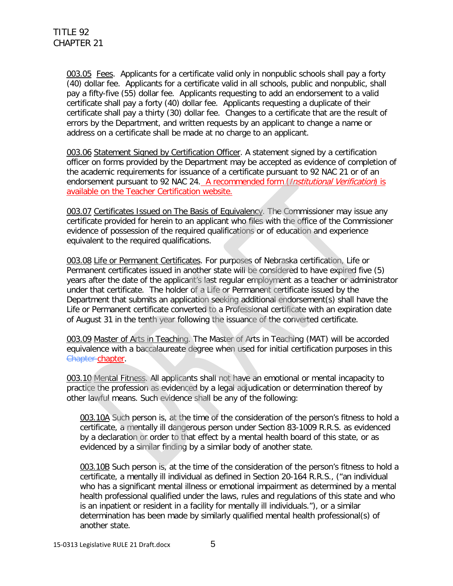003.05 Fees. Applicants for a certificate valid only in nonpublic schools shall pay a forty (40) dollar fee. Applicants for a certificate valid in all schools, public and nonpublic, shall pay a fifty-five (55) dollar fee. Applicants requesting to add an endorsement to a valid certificate shall pay a forty (40) dollar fee. Applicants requesting a duplicate of their certificate shall pay a thirty (30) dollar fee. Changes to a certificate that are the result of errors by the Department, and written requests by an applicant to change a name or address on a certificate shall be made at no charge to an applicant.

003.06 Statement Signed by Certification Officer. A statement signed by a certification officer on forms provided by the Department may be accepted as evidence of completion of the academic requirements for issuance of a certificate pursuant to 92 NAC 21 or of an endorsement pursuant to 92 NAC 24. A recommended form (*Institutional Verification*) is available on the Teacher Certification website.

003.07 Certificates Issued on The Basis of Equivalency. The Commissioner may issue any certificate provided for herein to an applicant who files with the office of the Commissioner evidence of possession of the required qualifications or of education and experience equivalent to the required qualifications.

003.08 Life or Permanent Certificates. For purposes of Nebraska certification, Life or Permanent certificates issued in another state will be considered to have expired five (5) years after the date of the applicant's last regular employment as a teacher or administrator under that certificate. The holder of a Life or Permanent certificate issued by the Department that submits an application seeking additional endorsement(s) shall have the Life or Permanent certificate converted to a Professional certificate with an expiration date of August 31 in the tenth year following the issuance of the converted certificate.

003.09 Master of Arts in Teaching. The Master of Arts in Teaching (MAT) will be accorded equivalence with a baccalaureate degree when used for initial certification purposes in this Chapter chapter.

003.10 Mental Fitness. All applicants shall not have an emotional or mental incapacity to practice the profession as evidenced by a legal adjudication or determination thereof by other lawful means. Such evidence shall be any of the following:

003.10A Such person is, at the time of the consideration of the person's fitness to hold a certificate, a mentally ill dangerous person under Section 83-1009 R.R.S. as evidenced by a declaration or order to that effect by a mental health board of this state, or as evidenced by a similar finding by a similar body of another state.

003.10B Such person is, at the time of the consideration of the person's fitness to hold a certificate, a mentally ill individual as defined in Section 20-164 R.R.S., ("an individual who has a significant mental illness or emotional impairment as determined by a mental health professional qualified under the laws, rules and regulations of this state and who is an inpatient or resident in a facility for mentally ill individuals."), or a similar determination has been made by similarly qualified mental health professional(s) of another state.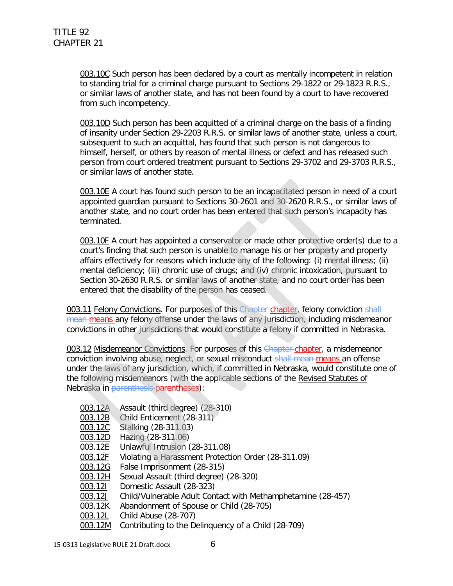003.10C Such person has been declared by a court as mentally incompetent in relation to standing trial for a criminal charge pursuant to Sections 29-1822 or 29-1823 R.R.S., or similar laws of another state, and has not been found by a court to have recovered from such incompetency.

003.10D Such person has been acquitted of a criminal charge on the basis of a finding of insanity under Section 29-2203 R.R.S. or similar laws of another state, unless a court, subsequent to such an acquittal, has found that such person is not dangerous to himself, herself, or others by reason of mental illness or defect and has released such person from court ordered treatment pursuant to Sections 29-3702 and 29-3703 R.R.S., or similar laws of another state.

003.10E A court has found such person to be an incapacitated person in need of a court appointed guardian pursuant to Sections 30-2601 and 30-2620 R.R.S., or similar laws of another state, and no court order has been entered that such person's incapacity has terminated.

003.10F A court has appointed a conservator or made other protective order(s) due to a court's finding that such person is unable to manage his or her property and property affairs effectively for reasons which include any of the following: (i) mental illness; (ii) mental deficiency; (iii) chronic use of drugs; and (iv) chronic intoxication, pursuant to Section 30-2630 R.R.S. or similar laws of another state, and no court order has been entered that the disability of the person has ceased.

003.11 Felony Convictions. For purposes of this Chapter chapter, felony conviction shall mean means any felony offense under the laws of any jurisdiction, including misdemeanor convictions in other jurisdictions that would constitute a felony if committed in Nebraska.

003.12 Misdemeanor Convictions. For purposes of this Chapter-chapter, a misdemeanor conviction involving abuse, neglect, or sexual misconduct shall mean means an offense under the laws of any jurisdiction, which, if committed in Nebraska, would constitute one of the following misdemeanors (with the applicable sections of the Revised Statutes of Nebraska in parenthesis parentheses):

- 003.12A Assault (third degree) (28-310)
- 003.12B Child Enticement (28-311)
- 003.12C Stalking (28-311.03)
- 003.12D Hazing (28-311.06)
- 003.12E Unlawful Intrusion (28-311.08)
- 003.12F Violating a Harassment Protection Order (28-311.09)
- 003.12G False Imprisonment (28-315)
- 003.12H Sexual Assault (third degree) (28-320)
- 003.12I Domestic Assault (28-323)
- 003.12J Child/Vulnerable Adult Contact with Methamphetamine (28-457)
- 003.12K Abandonment of Spouse or Child (28-705)
- 003.12L Child Abuse (28-707)
- 003.12M Contributing to the Delinquency of a Child (28-709)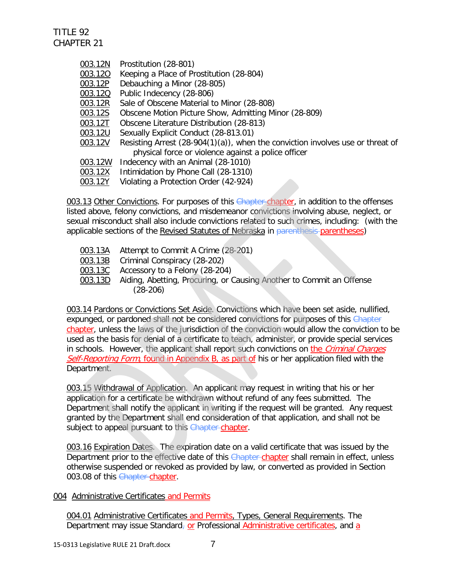003.12N Prostitution (28-801) 003.12O Keeping a Place of Prostitution (28-804) 003.12P Debauching a Minor (28-805) 003.12Q Public Indecency (28-806) 003.12R Sale of Obscene Material to Minor (28-808) 003.12S Obscene Motion Picture Show, Admitting Minor (28-809) 003.12T Obscene Literature Distribution (28-813) 003.12U Sexually Explicit Conduct (28-813.01) 003.12V Resisting Arrest (28-904(1)(a)), when the conviction involves use or threat of physical force or violence against a police officer 003.12W Indecency with an Animal (28-1010) 003.12X Intimidation by Phone Call (28-1310) 003.12Y Violating a Protection Order (42-924)

003.13 Other Convictions. For purposes of this Chapter chapter, in addition to the offenses listed above, felony convictions, and misdemeanor convictions involving abuse, neglect, or sexual misconduct shall also include convictions related to such crimes, including: (with the applicable sections of the Revised Statutes of Nebraska in parenthesis-parentheses)

- 003.13A Attempt to Commit A Crime (28-201)
- 003.13B Criminal Conspiracy (28-202)
- 003.13C Accessory to a Felony (28-204)
- 003.13D Aiding, Abetting, Procuring, or Causing Another to Commit an Offense (28-206)

003.14 Pardons or Convictions Set Aside. Convictions which have been set aside, nullified, expunged, or pardoned shall not be considered convictions for purposes of this Chapter chapter, unless the laws of the jurisdiction of the conviction would allow the conviction to be used as the basis for denial of a certificate to teach, administer, or provide special services in schools. However, the applicant shall report such convictions on the *Criminal Charges* Self-Reporting Form, found in Appendix B, as part of his or her application filed with the Department.

003.15 Withdrawal of Application. An applicant may request in writing that his or her application for a certificate be withdrawn without refund of any fees submitted. The Department shall notify the applicant in writing if the request will be granted. Any request granted by the Department shall end consideration of that application, and shall not be subject to appeal pursuant to this Chapter chapter.

003.16 Expiration Dates. The expiration date on a valid certificate that was issued by the Department prior to the effective date of this Chapter chapter shall remain in effect, unless otherwise suspended or revoked as provided by law, or converted as provided in Section 003.08 of this Chapter chapter.

#### 004 Administrative Certificates and Permits

004.01 Administrative Certificates and Permits, Types, General Requirements. The Department may issue Standard<sub>7</sub> or Professional Administrative certificates, and a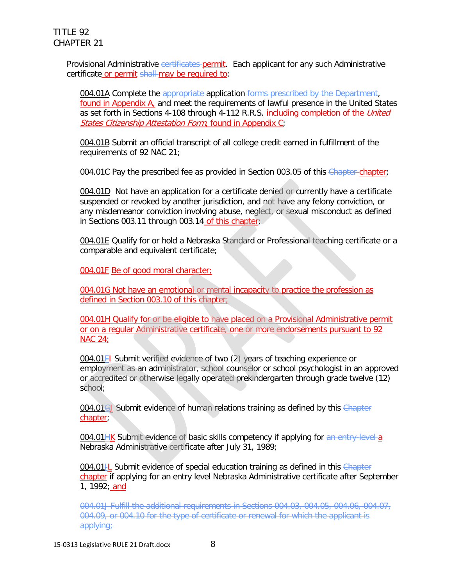Provisional Administrative certificates-permit. Each applicant for any such Administrative certificate or permit shall may be required to:

004.01A Complete the appropriate application forms prescribed by the Department, found in Appendix A, and meet the requirements of lawful presence in the United States as set forth in Sections 4-108 through 4-112 R.R.S. including completion of the *United* States Citizenship Attestation Form, found in Appendix C;

004.01B Submit an official transcript of all college credit earned in fulfillment of the requirements of 92 NAC 21;

004.01C Pay the prescribed fee as provided in Section 003.05 of this Chapter-chapter;

004.01D Not have an application for a certificate denied or currently have a certificate suspended or revoked by another jurisdiction, and not have any felony conviction, or any misdemeanor conviction involving abuse, neglect, or sexual misconduct as defined in Sections 003.11 through 003.14 of this chapter;

004.01E Qualify for or hold a Nebraska Standard or Professional teaching certificate or a comparable and equivalent certificate;

004.01F Be of good moral character;

004.01G Not have an emotional or mental incapacity to practice the profession as defined in Section 003.10 of this chapter;

004.01H Qualify for or be eligible to have placed on a Provisional Administrative permit or on a regular Administrative certificate, one or more endorsements pursuant to 92 NAC 24;

004.01FI Submit verified evidence of two (2) years of teaching experience or employment as an administrator, school counselor or school psychologist in an approved or accredited or otherwise legally operated prekindergarten through grade twelve (12) school;

004.01GJ Submit evidence of human relations training as defined by this Chapter chapter;

004.01HK Submit evidence of basic skills competency if applying for an entry-level a Nebraska Administrative certificate after July 31, 1989;

004.01<sup>+</sup>L Submit evidence of special education training as defined in this Chapter chapter if applying for an entry level Nebraska Administrative certificate after September 1, 1992; and

004.01J Fulfill the additional requirements in Sections 004.03, 004.05, 004.06, 004.07, 004.09, or 004.10 for the type of certificate or renewal for which the applicant is applying;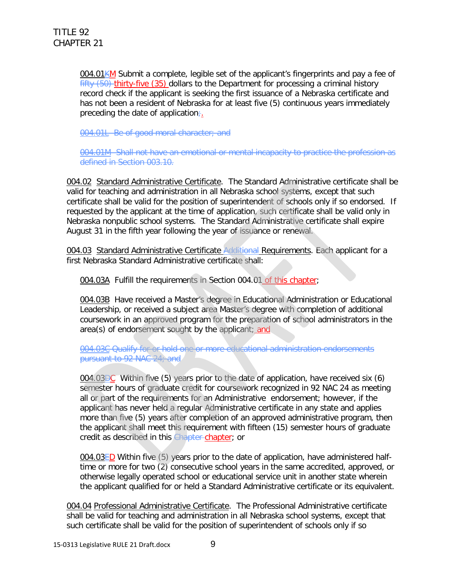004.01KM Submit a complete, legible set of the applicant's fingerprints and pay a fee of  $fifty (50)$ -thirty-five (35) dollars to the Department for processing a criminal history record check if the applicant is seeking the first issuance of a Nebraska certificate and has not been a resident of Nebraska for at least five (5) continuous years immediately preceding the date of application $\div$ .

004.01L Be of good moral character; and

004.01M Shall not have an emotional or mental incapacity to practice the profession as defined in Section 003.10.

004.02 Standard Administrative Certificate. The Standard Administrative certificate shall be valid for teaching and administration in all Nebraska school systems, except that such certificate shall be valid for the position of superintendent of schools only if so endorsed. If requested by the applicant at the time of application, such certificate shall be valid only in Nebraska nonpublic school systems. The Standard Administrative certificate shall expire August 31 in the fifth year following the year of issuance or renewal.

004.03 Standard Administrative Certificate Additional Requirements. Each applicant for a first Nebraska Standard Administrative certificate shall:

004.03A Fulfill the requirements in Section 004.01 of this chapter;

004.03B Have received a Master's degree in Educational Administration or Educational Leadership, or received a subject area Master's degree with completion of additional coursework in an approved program for the preparation of school administrators in the area(s) of endorsement sought by the applicant; and

004.03C Qualify for or hold one or more educational administration endorsements pursuant to 92 NAC 24; and

004.03DC Within five (5) years prior to the date of application, have received six (6) semester hours of graduate credit for coursework recognized in 92 NAC 24 as meeting all or part of the requirements for an Administrative endorsement; however, if the applicant has never held a regular Administrative certificate in any state and applies more than five (5) years after completion of an approved administrative program, then the applicant shall meet this requirement with fifteen (15) semester hours of graduate credit as described in this Chapter chapter; or

004.03 $E$ D Within five (5) years prior to the date of application, have administered halftime or more for two (2) consecutive school years in the same accredited, approved, or otherwise legally operated school or educational service unit in another state wherein the applicant qualified for or held a Standard Administrative certificate or its equivalent.

004.04 Professional Administrative Certificate. The Professional Administrative certificate shall be valid for teaching and administration in all Nebraska school systems, except that such certificate shall be valid for the position of superintendent of schools only if so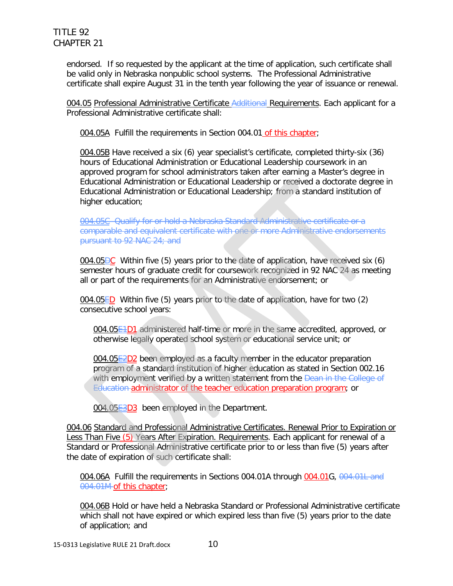endorsed. If so requested by the applicant at the time of application, such certificate shall be valid only in Nebraska nonpublic school systems. The Professional Administrative certificate shall expire August 31 in the tenth year following the year of issuance or renewal.

004.05 Professional Administrative Certificate Additional Requirements. Each applicant for a Professional Administrative certificate shall:

004.05A Fulfill the requirements in Section 004.01 of this chapter;

004.05B Have received a six (6) year specialist's certificate, completed thirty-six (36) hours of Educational Administration or Educational Leadership coursework in an approved program for school administrators taken after earning a Master's degree in Educational Administration or Educational Leadership or received a doctorate degree in Educational Administration or Educational Leadership; from a standard institution of higher education;

004.05C Qualify for or hold a Nebraska Standard Administrative certificate or a comparable and equivalent certificate with one or more Administrative endorsements pursuant to 92 NAC 24; and

004.05 $\overline{OC}$  Within five (5) years prior to the date of application, have received six (6) semester hours of graduate credit for coursework recognized in 92 NAC 24 as meeting all or part of the requirements for an Administrative endorsement; or

004.05ED Within five (5) years prior to the date of application, have for two (2) consecutive school years:

004.05**E<sub>1</sub>D1** administered half-time or more in the same accredited, approved, or otherwise legally operated school system or educational service unit; or

004.05E2D2 been employed as a faculty member in the educator preparation program of a standard institution of higher education as stated in Section 002.16 with employment verified by a written statement from the Dean in the College of Education administrator of the teacher education preparation program; or

004.05E3D3 been employed in the Department.

004.06 Standard and Professional Administrative Certificates. Renewal Prior to Expiration or Less Than Five (5) Years After Expiration. Requirements. Each applicant for renewal of a Standard or Professional Administrative certificate prior to or less than five (5) years after the date of expiration of such certificate shall:

004.06A Fulfill the requirements in Sections 004.01A through 004.01G, 004.01L and 004.01M of this chapter;

004.06B Hold or have held a Nebraska Standard or Professional Administrative certificate which shall not have expired or which expired less than five (5) years prior to the date of application; and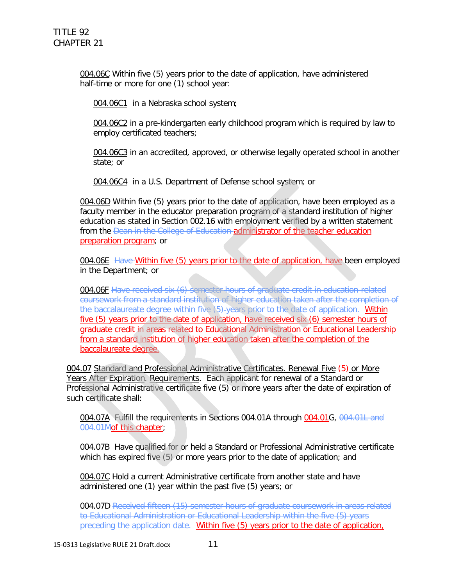004.06C Within five (5) years prior to the date of application, have administered half-time or more for one (1) school year:

004.06C1 in a Nebraska school system;

004.06C2 in a pre-kindergarten early childhood program which is required by law to employ certificated teachers;

004.06C3 in an accredited, approved, or otherwise legally operated school in another state; or

004.06C4 in a U.S. Department of Defense school system; or

004.06D Within five (5) years prior to the date of application, have been employed as a faculty member in the educator preparation program of a standard institution of higher education as stated in Section 002.16 with employment verified by a written statement from the Dean in the College of Education administrator of the teacher education preparation program; or

004.06E Have Within five (5) years prior to the date of application, have been employed in the Department; or

004.06F Have received six (6) semester hours of graduate credit in education-related coursework from a standard institution of higher education taken after the completion of the baccalaureate degree within five (5) years prior to the date of application. Within five (5) years prior to the date of application, have received six (6) semester hours of graduate credit in areas related to Educational Administration or Educational Leadership from a standard institution of higher education taken after the completion of the baccalaureate degree.

004.07 Standard and Professional Administrative Certificates. Renewal Five (5) or More Years After Expiration. Requirements. Each applicant for renewal of a Standard or Professional Administrative certificate five (5) or more years after the date of expiration of such certificate shall:

004.07A Fulfill the requirements in Sections 004.01A through 004.01G, 004.01L and 004.01Mof this chapter;

004.07B Have qualified for or held a Standard or Professional Administrative certificate which has expired five (5) or more years prior to the date of application; and

004.07C Hold a current Administrative certificate from another state and have administered one (1) year within the past five (5) years; or

004.07D Received fifteen (15) semester hours of graduate coursework in areas related to Educational Administration or Educational Leadership within the five (5) years preceding the application date. Within five (5) years prior to the date of application,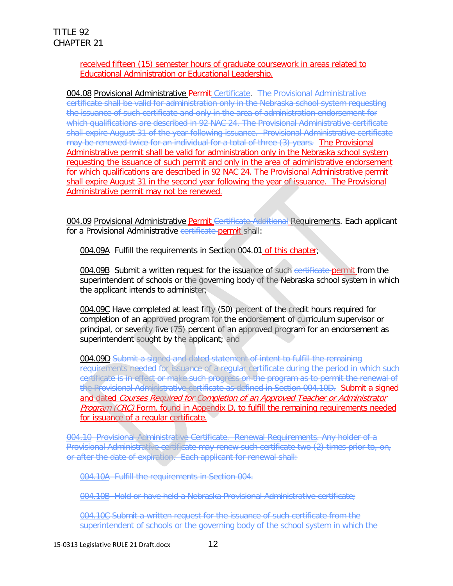#### received fifteen (15) semester hours of graduate coursework in areas related to Educational Administration or Educational Leadership.

004.08 Provisional Administrative Permit-Certificate. The Provisional Administrative certificate shall be valid for administration only in the Nebraska school system requesting the issuance of such certificate and only in the area of administration endorsement for which qualifications are described in 92 NAC 24. The Provisional Administrative certificate shall expire August 31 of the year following issuance. Provisional Administrative certificate may be renewed twice for an individual for a total of three (3) years. The Provisional Administrative permit shall be valid for administration only in the Nebraska school system requesting the issuance of such permit and only in the area of administrative endorsement for which qualifications are described in 92 NAC 24. The Provisional Administrative permit shall expire August 31 in the second year following the year of issuance. The Provisional Administrative permit may not be renewed.

004.09 Provisional Administrative Permit Certificate Additional Requirements. Each applicant for a Provisional Administrative certificate permit shall:

004.09A Fulfill the requirements in Section 004.01 of this chapter;

004.09B Submit a written request for the issuance of such certificate permit from the superintendent of schools or the governing body of the Nebraska school system in which the applicant intends to administer;

004.09C Have completed at least fifty (50) percent of the credit hours required for completion of an approved program for the endorsement of curriculum supervisor or principal, or seventy five (75) percent of an approved program for an endorsement as superintendent sought by the applicant; and

004.09D Submit a signed and dated statement of intent to fulfill the remaining requirements needed for issuance of a regular certificate during the period in which such certificate is in effect or make such progress on the program as to permit the renewal of the Provisional Administrative certificate as defined in Section 004.10D. Submit a signed and dated Courses Required for Completion of an Approved Teacher or Administrator Program (CRC) Form, found in Appendix D, to fulfill the remaining requirements needed for issuance of a regular certificate.

004.10 Provisional Administrative Certificate. Renewal Requirements. Any holder of a Provisional Administrative certificate may renew such certificate two (2) times prior to, on, or after the date of expiration. Each applicant for renewal shall:

004.10A Fulfill the requirements in Section 004.

004.10B Hold or have held a Nebraska Provisional Administrative certificate;

004.10C Submit a written request for the issuance of such certificate from the superintendent of schools or the governing body of the school system in which the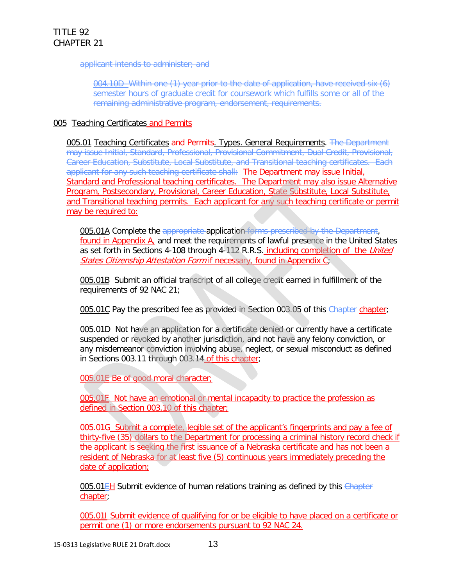applicant intends to administer; and

004.10D Within one (1) year prior to the date of application, have received six (6) semester hours of graduate credit for coursework which fulfills some or all of the remaining administrative program, endorsement, requirements.

#### 005 Teaching Certificates and Permits

005.01 Teaching Certificates and Permits. Types. General Requirements. The Department may issue Initial, Standard, Professional, Provisional Commitment, Dual Credit, Provisional, Career Education, Substitute, Local Substitute, and Transitional teaching certificates. Each applicant for any such teaching certificate shall: The Department may issue Initial, Standard and Professional teaching certificates. The Department may also issue Alternative Program, Postsecondary, Provisional, Career Education, State Substitute, Local Substitute, and Transitional teaching permits. Each applicant for any such teaching certificate or permit may be required to:

005.01A Complete the appropriate application forms prescribed by the Department, found in Appendix A, and meet the requirements of lawful presence in the United States as set forth in Sections 4-108 through 4-112 R.R.S. including completion of the United States Citizenship Attestation Form if necessary, found in Appendix C;

005.01B Submit an official transcript of all college credit earned in fulfillment of the requirements of 92 NAC 21;

005.01C Pay the prescribed fee as provided in Section 003.05 of this Chapter-chapter;

005.01D Not have an application for a certificate denied or currently have a certificate suspended or revoked by another jurisdiction, and not have any felony conviction, or any misdemeanor conviction involving abuse, neglect, or sexual misconduct as defined in Sections 003.11 through 003.14 of this chapter;

005.01E Be of good moral character;

005.01F Not have an emotional or mental incapacity to practice the profession as defined in Section 003.10 of this chapter;

005.01G Submit a complete, legible set of the applicant's fingerprints and pay a fee of thirty-five (35) dollars to the Department for processing a criminal history record check if the applicant is seeking the first issuance of a Nebraska certificate and has not been a resident of Nebraska for at least five (5) continuous years immediately preceding the date of application;

005.01 EH Submit evidence of human relations training as defined by this Chapter chapter;

005.01I Submit evidence of qualifying for or be eligible to have placed on a certificate or permit one (1) or more endorsements pursuant to 92 NAC 24.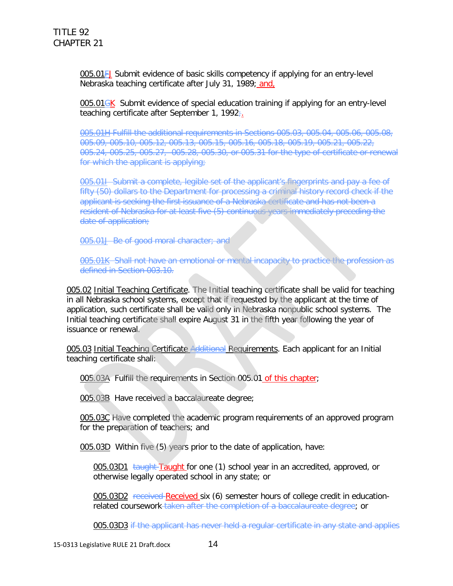005.01FJ Submit evidence of basic skills competency if applying for an entry-level Nebraska teaching certificate after July 31, 1989; and,

005.01<del>GK</del> Submit evidence of special education training if applying for an entry-level teaching certificate after September 1, 1992;

005.01H Fulfill the additional requirements in Sections 005.03, 005.04, 005.06, 005.08, 005.09, 005.10, 005.12, 005.13, 005.15, 005.16, 005.18, 005.19, 005.21, 005.22, 005.24, 005.25, 005.27, 005.28, 005.30, or 005.31 for the type of certificate or renewal for which the applicant is applying;

005.01I Submit a complete, legible set of the applicant's fingerprints and pay a fee of fifty (50) dollars to the Department for processing a criminal history record check if the applicant is seeking the first issuance of a Nebraska certificate and has not been a resident of Nebraska for at least five (5) continuous years immediately preceding the date of application;

005.01J Be of good moral character; and

005.01K Shall not have an emotional or mental incapacity to practice the profession as defined in Section 003.10.

005.02 Initial Teaching Certificate. The Initial teaching certificate shall be valid for teaching in all Nebraska school systems, except that if requested by the applicant at the time of application, such certificate shall be valid only in Nebraska nonpublic school systems. The Initial teaching certificate shall expire August 31 in the fifth year following the year of issuance or renewal.

005.03 Initial Teaching Certificate Additional Requirements. Each applicant for an Initial teaching certificate shall:

005.03A Fulfill the requirements in Section 005.01 of this chapter;

005.03B Have received a baccalaureate degree;

005.03C Have completed the academic program requirements of an approved program for the preparation of teachers; and

005.03D Within five (5) years prior to the date of application, have:

005.03D1 taught Taught for one (1) school year in an accredited, approved, or otherwise legally operated school in any state; or

005.03D2 received Received six (6) semester hours of college credit in educationrelated coursework taken after the completion of a baccalaureate degree; or

005.03D3 if the applicant has never held a regular certificate in any state and applies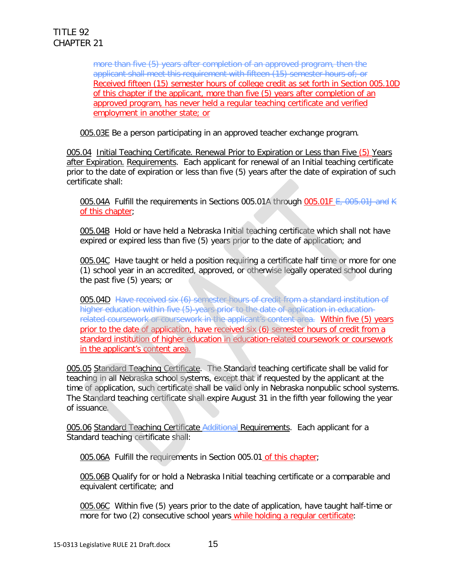more than five (5) years after completion of an approved program, then the applicant shall meet this requirement with fifteen (15) semester hours of; or Received fifteen (15) semester hours of college credit as set forth in Section 005.10D of this chapter if the applicant, more than five (5) years after completion of an approved program, has never held a regular teaching certificate and verified employment in another state; or

005.03E Be a person participating in an approved teacher exchange program.

005.04 Initial Teaching Certificate. Renewal Prior to Expiration or Less than Five (5) Years after Expiration. Requirements. Each applicant for renewal of an Initial teaching certificate prior to the date of expiration or less than five (5) years after the date of expiration of such certificate shall:

005.04A Fulfill the requirements in Sections 005.01A through 005.01F E, 005.01J and K of this chapter;

005.04B Hold or have held a Nebraska Initial teaching certificate which shall not have expired or expired less than five (5) years prior to the date of application; and

005.04C Have taught or held a position requiring a certificate half time or more for one (1) school year in an accredited, approved, or otherwise legally operated school during the past five (5) years; or

005.04D Have received six (6) semester hours of credit from a standard institution of higher education within five (5) years prior to the date of application in educationrelated coursework or coursework in the applicant's content area. Within five (5) years prior to the date of application, have received six (6) semester hours of credit from a standard institution of higher education in education-related coursework or coursework in the applicant's content area.

005.05 Standard Teaching Certificate. The Standard teaching certificate shall be valid for teaching in all Nebraska school systems, except that if requested by the applicant at the time of application, such certificate shall be valid only in Nebraska nonpublic school systems. The Standard teaching certificate shall expire August 31 in the fifth year following the year of issuance.

005.06 Standard Teaching Certificate Additional Requirements. Each applicant for a Standard teaching certificate shall:

005.06A Fulfill the requirements in Section 005.01 of this chapter;

005.06B Qualify for or hold a Nebraska Initial teaching certificate or a comparable and equivalent certificate; and

005.06C Within five (5) years prior to the date of application, have taught half-time or more for two (2) consecutive school years while holding a regular certificate: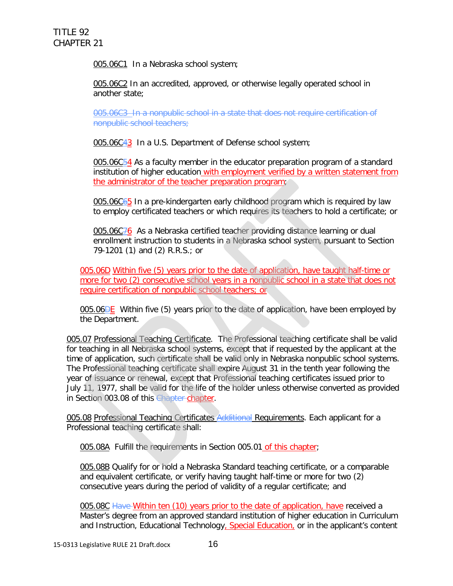005.06C1 In a Nebraska school system;

005.06C2 In an accredited, approved, or otherwise legally operated school in another state;

005.06C3 In a nonpublic school in a state that does not require certification of nonpublic school teachers;

005.06C43 In a U.S. Department of Defense school system;

005.06C $54$  As a faculty member in the educator preparation program of a standard institution of higher education with employment verified by a written statement from the administrator of the teacher preparation program;

005.06C65 In a pre-kindergarten early childhood program which is required by law to employ certificated teachers or which requires its teachers to hold a certificate; or

005.06C76 As a Nebraska certified teacher providing distance learning or dual enrollment instruction to students in a Nebraska school system, pursuant to Section 79-1201 (1) and (2) R.R.S.; or

005.06D Within five (5) years prior to the date of application, have taught half-time or more for two (2) consecutive school years in a nonpublic school in a state that does not require certification of nonpublic school teachers; or

005.06 $\overline{DE}$  Within five (5) years prior to the date of application, have been employed by the Department.

005.07 Professional Teaching Certificate. The Professional teaching certificate shall be valid for teaching in all Nebraska school systems, except that if requested by the applicant at the time of application, such certificate shall be valid only in Nebraska nonpublic school systems. The Professional teaching certificate shall expire August 31 in the tenth year following the year of issuance or renewal, except that Professional teaching certificates issued prior to July 11, 1977, shall be valid for the life of the holder unless otherwise converted as provided in Section 003.08 of this Chapter chapter.

005.08 Professional Teaching Certificates Additional Requirements. Each applicant for a Professional teaching certificate shall:

005.08A Fulfill the requirements in Section 005.01 of this chapter;

005.08B Qualify for or hold a Nebraska Standard teaching certificate, or a comparable and equivalent certificate, or verify having taught half-time or more for two (2) consecutive years during the period of validity of a regular certificate; and

005.08C Have Within ten (10) years prior to the date of application, have received a Master's degree from an approved standard institution of higher education in Curriculum and Instruction, Educational Technology, Special Education, or in the applicant's content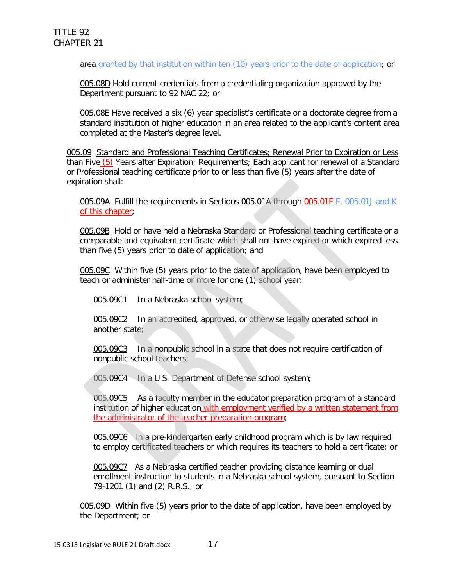area granted by that institution within ten (10) years prior to the date of application; or

005.08D Hold current credentials from a credentialing organization approved by the Department pursuant to 92 NAC 22; or

005.08E Have received a six (6) year specialist's certificate or a doctorate degree from a standard institution of higher education in an area related to the applicant's content area completed at the Master's degree level.

005.09 Standard and Professional Teaching Certificates; Renewal Prior to Expiration or Less than Five (5) Years after Expiration; Requirements; Each applicant for renewal of a Standard or Professional teaching certificate prior to or less than five (5) years after the date of expiration shall:

005.09A Fulfill the requirements in Sections 005.01A through 005.01F-E, 005.01J and K of this chapter;

005.09B Hold or have held a Nebraska Standard or Professional teaching certificate or a comparable and equivalent certificate which shall not have expired or which expired less than five (5) years prior to date of application; and

005.09C Within five (5) years prior to the date of application, have been employed to teach or administer half-time or more for one (1) school year:

005.09C1 In a Nebraska school system;

005.09C2 In an accredited, approved, or otherwise legally operated school in another state;

005.09C3 In a nonpublic school in a state that does not require certification of nonpublic school teachers;

005.09C4 In a U.S. Department of Defense school system;

005.09C5 As a faculty member in the educator preparation program of a standard institution of higher education with employment verified by a written statement from the administrator of the teacher preparation program;

005.09C6 In a pre-kindergarten early childhood program which is by law required to employ certificated teachers or which requires its teachers to hold a certificate; or

005.09C7 As a Nebraska certified teacher providing distance learning or dual enrollment instruction to students in a Nebraska school system, pursuant to Section 79-1201 (1) and (2) R.R.S.; or

005.09D Within five (5) years prior to the date of application, have been employed by the Department; or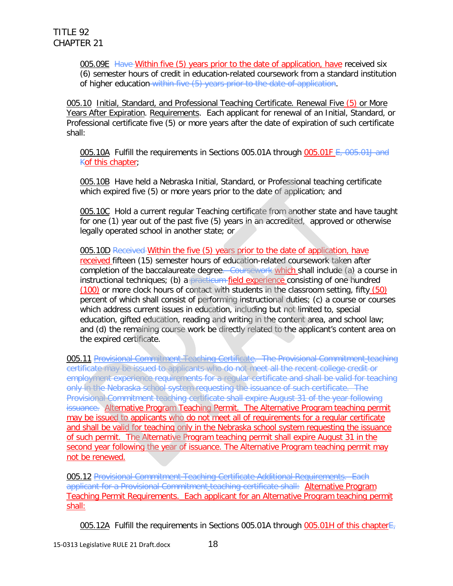005.09E Have Within five (5) years prior to the date of application, have received six (6) semester hours of credit in education-related coursework from a standard institution of higher education within five (5) years prior to the date of application.

005.10 Initial, Standard, and Professional Teaching Certificate. Renewal Five (5) or More Years After Expiration. Requirements. Each applicant for renewal of an Initial, Standard, or Professional certificate five (5) or more years after the date of expiration of such certificate shall:

005.10A Fulfill the requirements in Sections 005.01A through 005.01F E, 005.01J and Kof this chapter;

005.10B Have held a Nebraska Initial, Standard, or Professional teaching certificate which expired five (5) or more years prior to the date of application; and

005.10C Hold a current regular Teaching certificate from another state and have taught for one (1) year out of the past five (5) years in an accredited, approved or otherwise legally operated school in another state; or

005.10D Received Within the five (5) years prior to the date of application, have received fifteen (15) semester hours of education-related coursework taken after completion of the baccalaureate degree. Coursework which shall include (a) a course in instructional techniques; (b) a practicum field experience consisting of one hundred (100) or more clock hours of contact with students in the classroom setting, fifty (50) percent of which shall consist of performing instructional duties; (c) a course or courses which address current issues in education, including but not limited to, special education, gifted education, reading and writing in the content area, and school law; and (d) the remaining course work be directly related to the applicant's content area on the expired certificate.

005.11 Provisional Commitment Teaching Certificate. The Provisional Commitment teaching certificate may be issued to applicants who do not meet all the recent college credit or employment experience requirements for a reqular certificate and shall be valid for teaching only in the Nebraska school system requesting the issuance of such certificate. The Provisional Commitment teaching certificate shall expire August 31 of the year following issuance. Alternative Program Teaching Permit. The Alternative Program teaching permit may be issued to applicants who do not meet all of requirements for a regular certificate and shall be valid for teaching only in the Nebraska school system requesting the issuance of such permit. The Alternative Program teaching permit shall expire August 31 in the second year following the year of issuance. The Alternative Program teaching permit may not be renewed.

005.12 Provisional Commitment Teaching Certificate Additional Requirements. Each applicant for a Provisional Commitment teaching certificate shall: Alternative Program Teaching Permit Requirements. Each applicant for an Alternative Program teaching permit shall:

005.12A Fulfill the requirements in Sections 005.01A through 005.01H of this chapter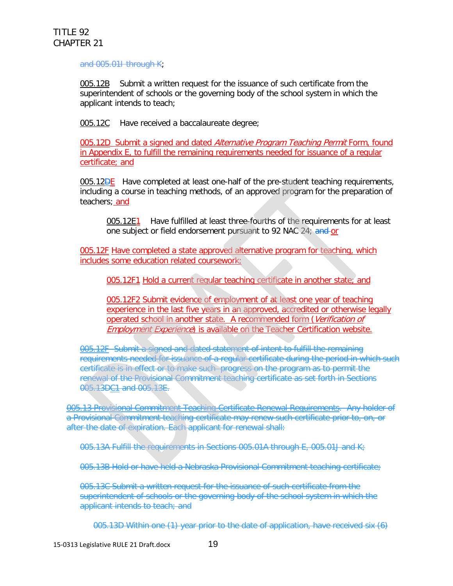and 005.01I through K;

005.12B Submit a written request for the issuance of such certificate from the superintendent of schools or the governing body of the school system in which the applicant intends to teach;

005.12C Have received a baccalaureate degree;

005.12D Submit a signed and dated Alternative Program Teaching Permit Form, found in Appendix E, to fulfill the remaining requirements needed for issuance of a regular certificate; and

**005.12DE** Have completed at least one-half of the pre-student teaching requirements, including a course in teaching methods, of an approved program for the preparation of teachers; and

005.12E1 Have fulfilled at least three-fourths of the requirements for at least one subject or field endorsement pursuant to 92 NAC 24; and or

005.12F Have completed a state approved alternative program for teaching, which includes some education related coursework;

005.12F1 Hold a current regular teaching certificate in another state; and

005.12F2 Submit evidence of employment of at least one year of teaching experience in the last five years in an approved, accredited or otherwise legally operated school in another state. A recommended form (Verification of **Employment Experience) is available on the Teacher Certification website.** 

005.12F Submit a signed and dated statement of intent to fulfill the remaining requirements needed for issuance of a regular certificate during the period in which such certificate is in effect or to make such progress on the program as to permit the renewal of the Provisional Commitment teaching certificate as set forth in Sections 005.13DC1 and 005.13E.

005.13 Provisional Commitment Teaching Certificate Renewal Requirements. Any holder of a Provisional Commitment teaching certificate may renew such certificate prior to, on, or after the date of expiration. Each applicant for renewal shall:

005.13A Fulfill the requirements in Sections 005.01A through E, 005.01J and K;

005.13B Hold or have held a Nebraska Provisional Commitment teaching certificate;

005.13C Submit a written request for the issuance of such certificate from the superintendent of schools or the governing body of the school system in which the applicant intends to teach; and

005.13D Within one (1) year prior to the date of application, have received six (6)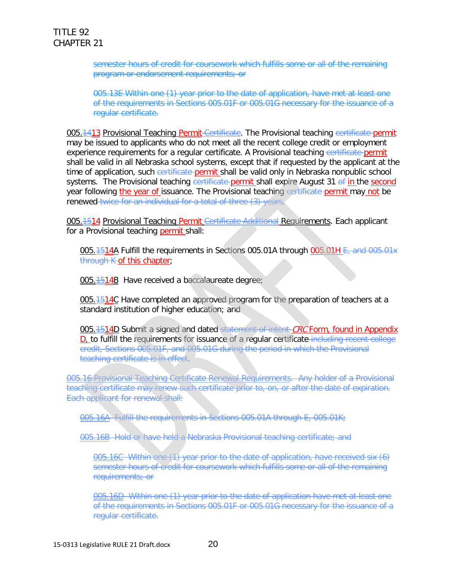semester hours of credit for coursework which fulfills some or all of the remaining program or endorsement requirements; or

005.13E Within one (1) year prior to the date of application, have met at least one of the requirements in Sections 005.01F or 005.01G necessary for the issuance of a regular certificate.

005.<del>1413</del> Provisional Teaching Permit-Certificate. The Provisional teaching certificate-permit may be issued to applicants who do not meet all the recent college credit or employment experience requirements for a reqular certificate. A Provisional teaching certificate-permit shall be valid in all Nebraska school systems, except that if requested by the applicant at the time of application, such certificate permit shall be valid only in Nebraska nonpublic school systems. The Provisional teaching certificate permit shall expire August 31 of in the second year following the year of issuance. The Provisional teaching certificate permit may not be renewed twice for an individual for a total of three (3) years.

005. **1514** Provisional Teaching Permit Certificate Additional Requirements. Each applicant for a Provisional teaching permit shall:

005.1514A Fulfill the requirements in Sections 005.01A through 005.01H E, and 005.01x through K of this chapter;

005.1514B Have received a baccalaureate degree;

005.<sup>1514</sup>C Have completed an approved program for the preparation of teachers at a standard institution of higher education; and

005.1514D Submit a signed and dated statement of intent CRC Form, found in Appendix D, to fulfill the requirements for issuance of a regular certificate including recent college credit, Sections 005.01F, and 005.01G during the period in which the Provisional teaching certificate is in effect.

005.16 Provisional Teaching Certificate Renewal Requirements. Any holder of a Provisional teaching certificate may renew such certificate prior to, on, or after the date of expiration. Each applicant for renewal shall:

005.16A Fulfill the requirements in Sections 005.01A through E, 005.01K;

005.16B Hold or have held a Nebraska Provisional teaching certificate; and

005.16C Within one (1) year prior to the date of application, have received six (6) semester hours of credit for coursework which fulfills some or all of the remaining requirements; or

005.16D Within one (1) year prior to the date of application have met at least one of the requirements in Sections 005.01F or 005.01G necessary for the issuance of a regular certificate.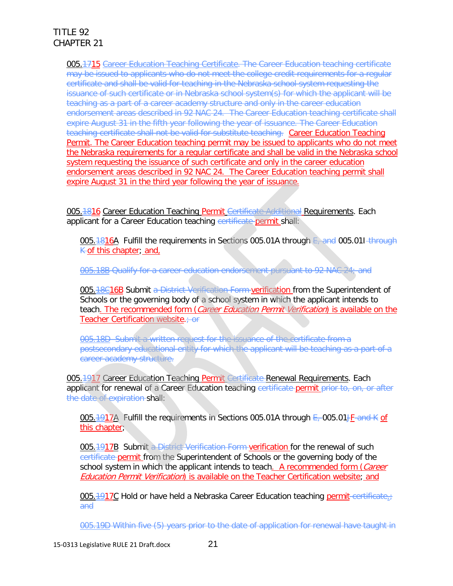005.1715 Career Education Teaching Certificate. The Career Education teaching certificate may be issued to applicants who do not meet the college credit requirements for a regular certificate and shall be valid for teaching in the Nebraska school system requesting the issuance of such certificate or in Nebraska school system(s) for which the applicant will be teaching as a part of a career academy structure and only in the career education endorsement areas described in 92 NAC 24. The Career Education teaching certificate shall expire August 31 in the fifth year following the year of issuance. The Career Education teaching certificate shall not be valid for substitute teaching. Career Education Teaching Permit. The Career Education teaching permit may be issued to applicants who do not meet the Nebraska requirements for a regular certificate and shall be valid in the Nebraska school system requesting the issuance of such certificate and only in the career education endorsement areas described in 92 NAC 24. The Career Education teaching permit shall expire August 31 in the third year following the year of issuance.

005.1816 Career Education Teaching Permit Certificate Additional Requirements. Each applicant for a Career Education teaching certificate permit shall:

005.1816A Fulfill the requirements in Sections 005.01A through E, and 005.011 through  $K$  of this chapter; and,

005.18B Qualify for a career education endorsement pursuant to 92 NAC 24; and

005.18C16B Submit a District Verification Form verification from the Superintendent of Schools or the governing body of a school system in which the applicant intends to teach. The recommended form (Career Education Permit Verification) is available on the Teacher Certification website.: or

005.18D Submit a written request for the issuance of the certificate from a postsecondary educational entity for which the applicant will be teaching as a part of a career academy structure.

005.1917 Career Education Teaching Permit Certificate Renewal Requirements. Each applicant for renewal of a Career Education teaching certificate permit prior to, on, or after the date of expiration shall:

005.1917A Fulfill the requirements in Sections 005.01A through E, 005.01JF and K of this chapter;

005.1917B Submit a District Verification Form verification for the renewal of such certificate permit from the Superintendent of Schools or the governing body of the school system in which the applicant intends to teach. A recommended form (Career Education Permit Verification) is available on the Teacher Certification website; and

005.1917C Hold or have held a Nebraska Career Education teaching permit-certificate. and

005.19D Within five (5) years prior to the date of application for renewal have taught in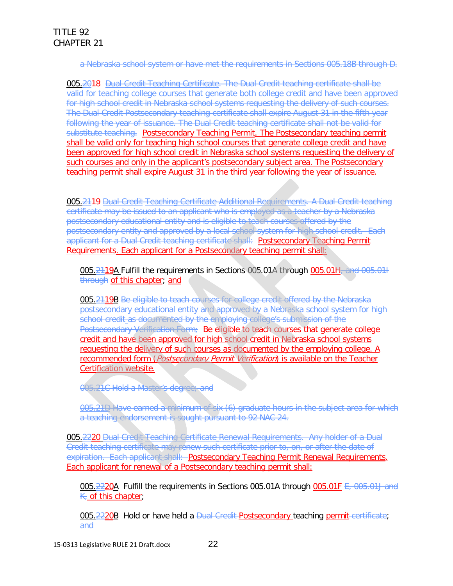a Nebraska school system or have met the requirements in Sections 005.18B through D.

005.2018 Dual Credit Teaching Certificate. The Dual Credit teaching certificate shall be valid for teaching college courses that generate both college credit and have been approved for high school credit in Nebraska school systems requesting the delivery of such courses. The Dual Credit Postsecondary teaching certificate shall expire August 31 in the fifth year following the year of issuance. The Dual Credit teaching certificate shall not be valid for substitute teaching. Postsecondary Teaching Permit. The Postsecondary teaching permit shall be valid only for teaching high school courses that generate college credit and have been approved for high school credit in Nebraska school systems requesting the delivery of such courses and only in the applicant's postsecondary subject area. The Postsecondary teaching permit shall expire August 31 in the third year following the year of issuance.

005.2119 Dual Credit Teaching Certificate Additional Requirements. A Dual Credit teaching certificate may be issued to an applicant who is employed as a teacher by a Nebraska postsecondary educational entity and is eligible to teach courses offered by the postsecondary entity and approved by a local school system for high school credit. Each applicant for a Dual Credit teaching certificate shall: Postsecondary Teaching Permit Requirements. Each applicant for a Postsecondary teaching permit shall:

005.2119A Fulfill the requirements in Sections 005.01A through 005.01H, and 005.01I through of this chapter; and

005.2119B Be eligible to teach courses for college credit offered by the Nebraska postsecondary educational entity and approved by a Nebraska school system for high school credit as documented by the employing college's submission of the Postsecondary Verification Form; Be eligible to teach courses that generate college credit and have been approved for high school credit in Nebraska school systems requesting the delivery of such courses as documented by the employing college. A recommended form (Postsecondary Permit Verification) is available on the Teacher Certification website.

005.21C Hold a Master's degree; and

005.21D Have earned a minimum of six (6) graduate hours in the subject area for which a teaching endorsement is sought pursuant to 92 NAC 24.

005.2220 Dual Credit Teaching Certificate Renewal Requirements. Any holder of a Dual Credit teaching certificate may renew such certificate prior to, on, or after the date of expiration. Each applicant shall: Postsecondary Teaching Permit Renewal Requirements. Each applicant for renewal of a Postsecondary teaching permit shall:

005.2220A Fulfill the requirements in Sections 005.01A through 005.01F E, 005.01J and  $K_{i}$  of this chapter;

005.2220B Hold or have held a <del>Dual Credit Postsecondary teaching permit certificate</del>; and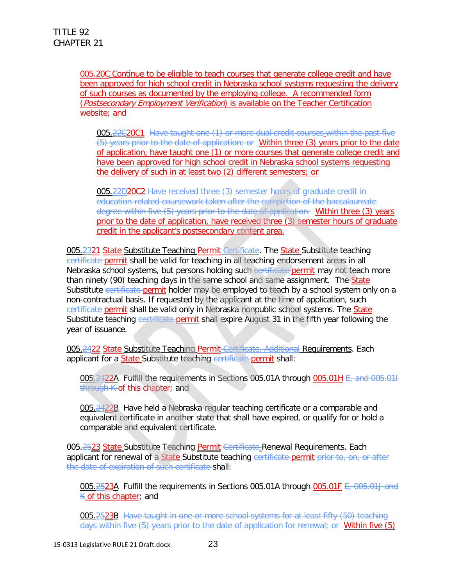005.20C Continue to be eligible to teach courses that generate college credit and have been approved for high school credit in Nebraska school systems requesting the delivery of such courses as documented by the employing college. A recommended form (Postsecondary Employment Verification) is available on the Teacher Certification website; and

005.22C20C1 Have taught one (1) or more dual credit courses within the past five (5) years prior to the date of application; or Within three (3) years prior to the date of application, have taught one (1) or more courses that generate college credit and have been approved for high school credit in Nebraska school systems requesting the delivery of such in at least two (2) different semesters; or

005.22D20C2 Have received three (3) semester hours of graduate credit in education-related coursework taken after the completion of the baccalaureate degree within five (5) years prior to the date of application. Within three (3) years prior to the date of application, have received three (3) semester hours of graduate credit in the applicant's postsecondary content area.

005.2321 State Substitute Teaching Permit-Certificate. The State Substitute teaching certificate permit shall be valid for teaching in all teaching endorsement areas in all Nebraska school systems, but persons holding such eertificate permit may not teach more than ninety (90) teaching days in the same school and same assignment. The State Substitute certificate permit holder may be employed to teach by a school system only on a non-contractual basis. If requested by the applicant at the time of application, such certificate permit shall be valid only in Nebraska nonpublic school systems. The State Substitute teaching certificate permit shall expire August 31 in the fifth year following the year of issuance.

005.2422 State Substitute Teaching Permit Certificate. Additional Requirements. Each applicant for a State Substitute teaching certificate permit shall:

005.2422A Fulfill the requirements in Sections 005.01A through 005.01H E, and 005.01I through K of this chapter; and

005.2422B Have held a Nebraska regular teaching certificate or a comparable and equivalent certificate in another state that shall have expired, or qualify for or hold a comparable and equivalent certificate.

005.2523 State Substitute Teaching Permit Certificate Renewal Requirements. Each applicant for renewal of a State Substitute teaching certificate permit prior to, on, or after the date of expiration of such certificate shall:

005.2523A Fulfill the requirements in Sections 005.01A through 005.01F E, 005.01J and K of this chapter; and

005.2523B Have taught in one or more school systems for at least fifty (50) teaching days within five (5) years prior to the date of application for renewal; or Within five (5)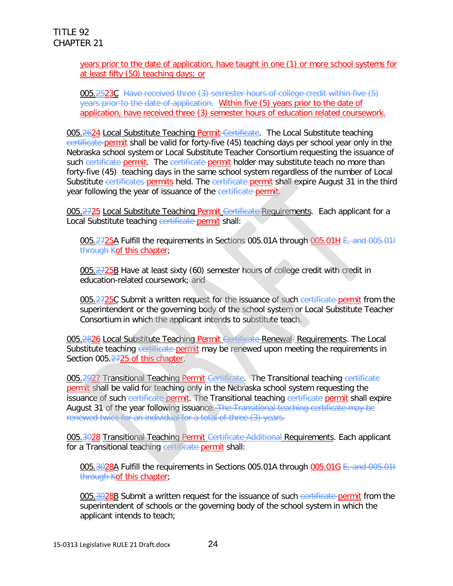#### years prior to the date of application, have taught in one (1) or more school systems for at least fifty (50) teaching days; or

005.2523C Have received three (3) semester hours of college credit within five (5) years prior to the date of application. Within five (5) years prior to the date of application, have received three (3) semester hours of education related coursework.

005.2624 Local Substitute Teaching Permit Certificate. The Local Substitute teaching certificate permit shall be valid for forty-five (45) teaching days per school year only in the Nebraska school system or Local Substitute Teacher Consortium requesting the issuance of such certificate permit. The certificate permit holder may substitute teach no more than forty-five (45) teaching days in the same school system regardless of the number of Local Substitute certificates permits held. The certificate permit shall expire August 31 in the third year following the year of issuance of the certificate permit.

005.2725 Local Substitute Teaching Permit Certificate Requirements. Each applicant for a Local Substitute teaching certificate permit shall:

005.2725A Fulfill the requirements in Sections 005.01A through 005.01H E, and 005.01H through Kof this chapter;

005.2725B Have at least sixty (60) semester hours of college credit with credit in education-related coursework; and

005.2725C Submit a written request for the issuance of such certificate permit from the superintendent or the governing body of the school system or Local Substitute Teacher Consortium in which the applicant intends to substitute teach.

005.2826 Local Substitute Teaching Permit Gertificate Renewal. Requirements. The Local Substitute teaching certificate permit may be renewed upon meeting the requirements in Section 005.2725 of this chapter.

005.2927 Transitional Teaching Permit Certificate. The Transitional teaching certificate permit shall be valid for teaching only in the Nebraska school system requesting the issuance of such certificate permit. The Transitional teaching certificate permit shall expire August 31 of the year following issuance. The Transitional teaching certificate may be renewed twice for an individual for a total of three (3) years.

005.3028 Transitional Teaching Permit Certificate Additional Requirements. Each applicant for a Transitional teaching certificate permit shall:

005.3028A Fulfill the requirements in Sections 005.01A through 005.01G E, and 005.011 through Kof this chapter;

005.3028B Submit a written request for the issuance of such certificate permit from the superintendent of schools or the governing body of the school system in which the applicant intends to teach;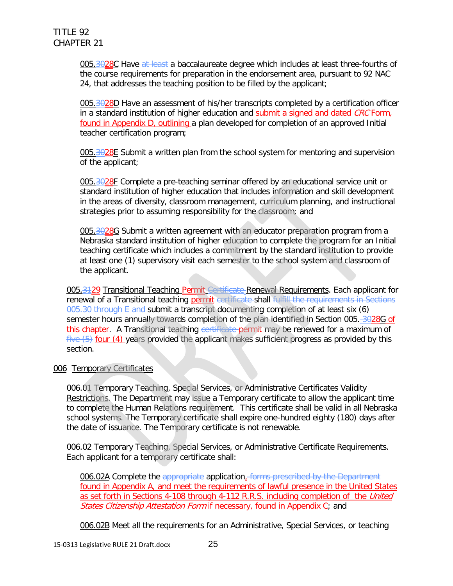005.3028C Have at least a baccalaureate degree which includes at least three-fourths of the course requirements for preparation in the endorsement area, pursuant to 92 NAC 24, that addresses the teaching position to be filled by the applicant;

005.3028D Have an assessment of his/her transcripts completed by a certification officer in a standard institution of higher education and submit a signed and dated CRC Form, found in Appendix D, outlining a plan developed for completion of an approved Initial teacher certification program;

005.3028E Submit a written plan from the school system for mentoring and supervision of the applicant;

005.3028F Complete a pre-teaching seminar offered by an educational service unit or standard institution of higher education that includes information and skill development in the areas of diversity, classroom management, curriculum planning, and instructional strategies prior to assuming responsibility for the classroom; and

005.3028G Submit a written agreement with an educator preparation program from a Nebraska standard institution of higher education to complete the program for an Initial teaching certificate which includes a commitment by the standard institution to provide at least one (1) supervisory visit each semester to the school system and classroom of the applicant.

005.3129 Transitional Teaching Permit Certificate Renewal Requirements. Each applicant for renewal of a Transitional teaching permit certificate shall fulfill the requirements in Sections 005.30 through E and submit a transcript documenting completion of at least six (6) semester hours annually towards completion of the plan identified in Section 005. 3028G of this chapter. A Transitional teaching certificate permit may be renewed for a maximum of  $five (5)$  four (4) years provided the applicant makes sufficient progress as provided by this section.

#### 006 Temporary Certificates

006.01 Temporary Teaching, Special Services, or Administrative Certificates Validity Restrictions. The Department may issue a Temporary certificate to allow the applicant time to complete the Human Relations requirement. This certificate shall be valid in all Nebraska school systems. The Temporary certificate shall expire one-hundred eighty (180) days after the date of issuance. The Temporary certificate is not renewable.

006.02 Temporary Teaching, Special Services, or Administrative Certificate Requirements. Each applicant for a temporary certificate shall:

006.02A Complete the appropriate application, forms prescribed by the Department found in Appendix A, and meet the requirements of lawful presence in the United States as set forth in Sections 4-108 through 4-112 R.R.S. including completion of the United States Citizenship Attestation Form if necessary, found in Appendix C; and

006.02B Meet all the requirements for an Administrative, Special Services, or teaching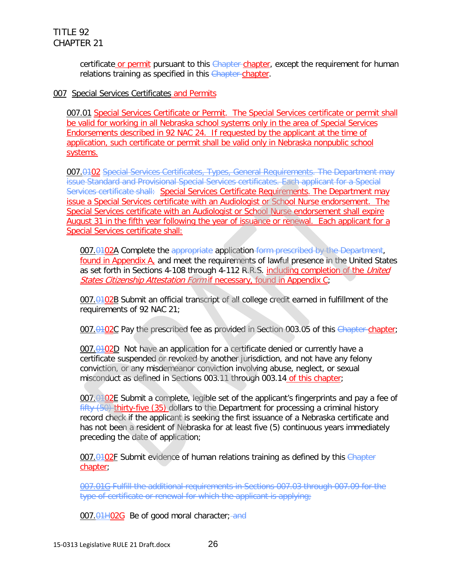certificate or permit pursuant to this Chapter-chapter, except the requirement for human relations training as specified in this Chapter-chapter.

#### 007 Special Services Certificates and Permits

007.01 Special Services Certificate or Permit. The Special Services certificate or permit shall be valid for working in all Nebraska school systems only in the area of Special Services Endorsements described in 92 NAC 24. If requested by the applicant at the time of application, such certificate or permit shall be valid only in Nebraska nonpublic school systems.

007.0102 Special Services Certificates, Types, General Requirements. The Department may issue Standard and Provisional Special Services certificates. Each applicant for a Special Services certificate shall: Special Services Certificate Requirements. The Department may issue a Special Services certificate with an Audiologist or School Nurse endorsement. The Special Services certificate with an Audiologist or School Nurse endorsement shall expire August 31 in the fifth year following the year of issuance or renewal. Each applicant for a Special Services certificate shall:

007.0102A Complete the appropriate application form prescribed by the Department, found in Appendix A, and meet the requirements of lawful presence in the United States as set forth in Sections 4-108 through 4-112 R.R.S. including completion of the *United* States Citizenship Attestation Form if necessary, found in Appendix C;

007.0102B Submit an official transcript of all college credit earned in fulfillment of the requirements of 92 NAC 21;

007.0102C Pay the prescribed fee as provided in Section 003.05 of this Chapter chapter;

 $007.0102D$  Not have an application for a certificate denied or currently have a certificate suspended or revoked by another jurisdiction, and not have any felony conviction, or any misdemeanor conviction involving abuse, neglect, or sexual misconduct as defined in Sections 003.11 through 003.14 of this chapter;

007.0102E Submit a complete, legible set of the applicant's fingerprints and pay a fee of fifty (50) thirty-five (35) dollars to the Department for processing a criminal history record check if the applicant is seeking the first issuance of a Nebraska certificate and has not been a resident of Nebraska for at least five (5) continuous years immediately preceding the date of application;

007.0102F Submit evidence of human relations training as defined by this Chapter chapter;

007.01G Fulfill the additional requirements in Sections 007.03 through 007.09 for the type of certificate or renewal for which the applicant is applying;

007.01H02G Be of good moral character; and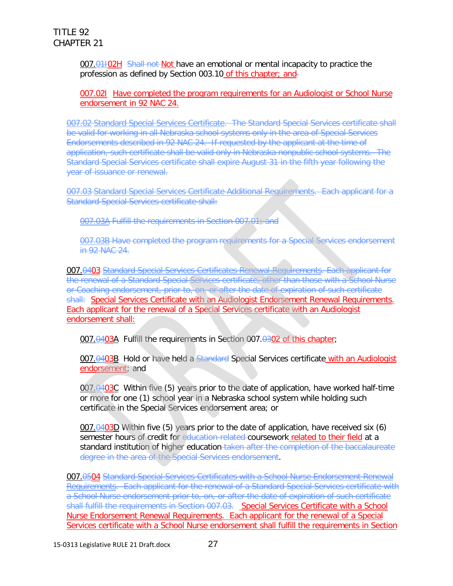007.01H02H Shall not Not have an emotional or mental incapacity to practice the profession as defined by Section 003.10 of this chapter; and-

007.021 Have completed the program requirements for an Audiologist or School Nurse endorsement in 92 NAC 24.

007.02 Standard Special Services Certificate. The Standard Special Services certificate shall be valid for working in all Nebraska school systems only in the area of Special Services Endorsements described in 92 NAC 24. If requested by the applicant at the time of application, such certificate shall be valid only in Nebraska nonpublic school systems. The Standard Special Services certificate shall expire August 31 in the fifth year following the year of issuance or renewal.

007.03 Standard Special Services Certificate Additional Requirements. Each applicant for a Standard Special Services certificate shall:

007.03A Fulfill the requirements in Section 007.01; and

007.03B Have completed the program requirements for a Special Services endorsement in 92 NAC 24.

007.0403 Standard Special Services Certificates Renewal Requirements. Each applicant for the renewal of a Standard Special Services certificate, other than those with a School Nurse or Coaching endorsement, prior to, on, or after the date of expiration of such certificate shall: Special Services Certificate with an Audiologist Endorsement Renewal Requirements. Each applicant for the renewal of a Special Services certificate with an Audiologist endorsement shall:

007.0403A Fulfill the requirements in Section 007.0302 of this chapter;

007.0403B Hold or have held a Standard Special Services certificate with an Audiologist endorsement; and

007.0403C Within five (5) years prior to the date of application, have worked half-time or more for one (1) school year in a Nebraska school system while holding such certificate in the Special Services endorsement area; or

007. $\theta$ 403D Within five (5) years prior to the date of application, have received six (6) semester hours of credit for education-related-coursework related to their field at a standard institution of higher education taken after the completion of the baccalaureate degree in the area of the Special Services endorsement.

007.0504 Standard Special Services Certificates with a School Nurse Endorsement Renewal Requirements. Each applicant for the renewal of a Standard Special Services certificate with a School Nurse endorsement prior to, on, or after the date of expiration of such certificate shall fulfill the requirements in Section 007.03. Special Services Certificate with a School Nurse Endorsement Renewal Requirements. Each applicant for the renewal of a Special Services certificate with a School Nurse endorsement shall fulfill the requirements in Section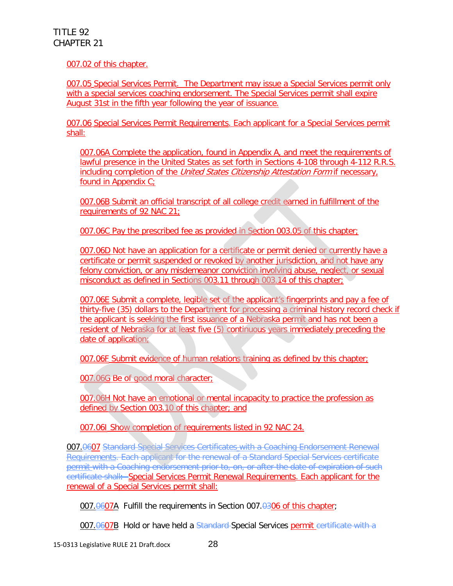007.02 of this chapter.

007.05 Special Services Permit. The Department may issue a Special Services permit only with a special services coaching endorsement. The Special Services permit shall expire August 31st in the fifth year following the year of issuance.

007.06 Special Services Permit Requirements. Each applicant for a Special Services permit shall:

007.06A Complete the application, found in Appendix A, and meet the requirements of lawful presence in the United States as set forth in Sections 4-108 through 4-112 R.R.S. including completion of the *United States Citizenship Attestation Form* if necessary, found in Appendix C;

007.06B Submit an official transcript of all college credit earned in fulfillment of the requirements of 92 NAC 21;

007.06C Pay the prescribed fee as provided in Section 003.05 of this chapter;

007.06D Not have an application for a certificate or permit denied or currently have a certificate or permit suspended or revoked by another jurisdiction, and not have any felony conviction, or any misdemeanor conviction involving abuse, neglect, or sexual misconduct as defined in Sections 003.11 through 003.14 of this chapter;

007.06E Submit a complete, legible set of the applicant's fingerprints and pay a fee of thirty-five (35) dollars to the Department for processing a criminal history record check if the applicant is seeking the first issuance of a Nebraska permit and has not been a resident of Nebraska for at least five (5) continuous years immediately preceding the date of application;

007.06F Submit evidence of human relations training as defined by this chapter;

007.06G Be of good moral character;

007.06H Not have an emotional or mental incapacity to practice the profession as defined by Section 003.10 of this chapter; and

007.06I Show completion of requirements listed in 92 NAC 24.

007.0607 Standard Special Services Certificates with a Coaching Endorsement Renewal Requirements. Each applicant for the renewal of a Standard Special Services certificate permit with a Coaching endorsement prior to, on, or after the date of expiration of such certificate shall: Special Services Permit Renewal Requirements. Each applicant for the renewal of a Special Services permit shall:

007.0607A Fulfill the requirements in Section 007.0306 of this chapter:

007.0607B Hold or have held a Standard-Special Services permit certificate with a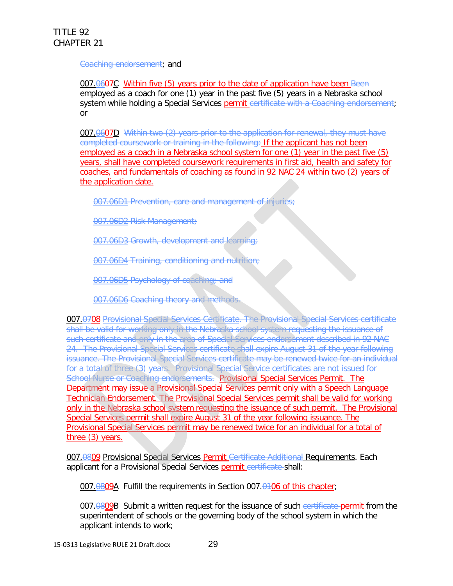#### Coaching endorsement; and

007.0607C Within five (5) years prior to the date of application have been Been employed as a coach for one (1) year in the past five (5) years in a Nebraska school system while holding a Special Services permit certificate with a Coaching endorsement; or

007.0607D Within two (2) years prior to the application for renewal, they must have completed coursework or training in the following: If the applicant has not been employed as a coach in a Nebraska school system for one (1) year in the past five (5) years, shall have completed coursework requirements in first aid, health and safety for coaches, and fundamentals of coaching as found in 92 NAC 24 within two (2) years of the application date.

007.06D1 Prevention, care and management of injuries;

007.06D2 Risk Management;

007.06D3 Growth, development and learning;

007.06D4 Training, conditioning and nutrition;

007.06D5 Psychology of coaching; and

007.06D6 Coaching theory and methods.

007.0708 Provisional Special Services Certificate. The Provisional Special Services certificate shall be valid for working only in the Nebraska school system requesting the issuance of such certificate and only in the area of Special Services endorsement described in 92 NAC 24. The Provisional Special Services certificate shall expire August 31 of the year following issuance. The Provisional Special Services certificate may be renewed twice for an individual for a total of three (3) years. Provisional Special Service certificates are not issued for School Nurse or Coaching endorsements. Provisional Special Services Permit. The Department may issue a Provisional Special Services permit only with a Speech Language Technician Endorsement. The Provisional Special Services permit shall be valid for working only in the Nebraska school system requesting the issuance of such permit. The Provisional Special Services permit shall expire August 31 of the year following issuance. The Provisional Special Services permit may be renewed twice for an individual for a total of three (3) years.

007.0809 Provisional Special Services Permit Certificate Additional Requirements. Each applicant for a Provisional Special Services permit certificate shall:

007.0809A Fulfill the requirements in Section 007.0406 of this chapter;

007.0809B Submit a written request for the issuance of such certificate permit from the superintendent of schools or the governing body of the school system in which the applicant intends to work;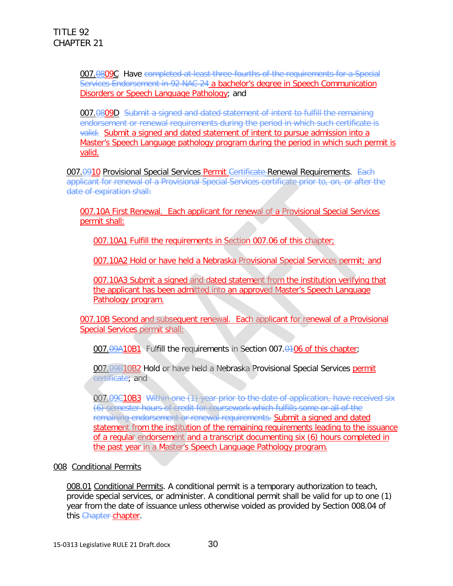007.0809C Have completed at least three-fourths of the requirements for a Special Services Endorsement in 92 NAC 24 a bachelor's degree in Speech Communication Disorders or Speech Language Pathology; and

007.0809D Submit a signed and dated statement of intent to fulfill the remaining endorsement or renewal requirements during the period in which such certificate is valid. Submit a signed and dated statement of intent to pursue admission into a Master's Speech Language pathology program during the period in which such permit is valid.

007.0910 Provisional Special Services Permit Certificate Renewal Requirements. Each applicant for renewal of a Provisional Special Services certificate prior to, on, or after the date of expiration shall:

007.10A First Renewal. Each applicant for renewal of a Provisional Special Services permit shall:

007.10A1 Fulfill the requirements in Section 007.06 of this chapter;

007.10A2 Hold or have held a Nebraska Provisional Special Services permit; and

007.10A3 Submit a signed and dated statement from the institution verifying that the applicant has been admitted into an approved Master's Speech Language Pathology program.

007.10B Second and subsequent renewal. Each applicant for renewal of a Provisional Special Services permit shall:

007.09A10B1 Fulfill the requirements in Section 007.0406 of this chapter;

007.09B10B2 Hold or have held a Nebraska Provisional Special Services permit certificate; and

007.09C10B3 Within one (1) year prior to the date of application, have received six (6) semester hours of credit for coursework which fulfills some or all of the remaining endorsement or renewal requirements. Submit a signed and dated statement from the institution of the remaining requirements leading to the issuance of a regular endorsement and a transcript documenting six (6) hours completed in the past year in a Master's Speech Language Pathology program.

#### 008 Conditional Permits

008.01 Conditional Permits. A conditional permit is a temporary authorization to teach, provide special services, or administer. A conditional permit shall be valid for up to one (1) year from the date of issuance unless otherwise voided as provided by Section 008.04 of this Chapter-chapter.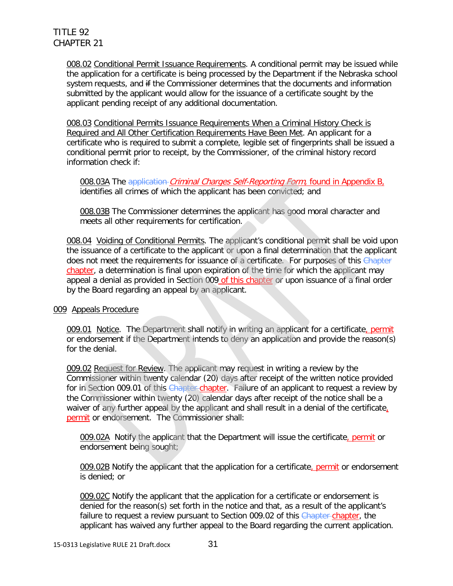008.02 Conditional Permit Issuance Requirements. A conditional permit may be issued while the application for a certificate is being processed by the Department if the Nebraska school system requests, and if the Commissioner determines that the documents and information submitted by the applicant would allow for the issuance of a certificate sought by the applicant pending receipt of any additional documentation.

008.03 Conditional Permits Issuance Requirements When a Criminal History Check is Required and All Other Certification Requirements Have Been Met. An applicant for a certificate who is required to submit a complete, legible set of fingerprints shall be issued a conditional permit prior to receipt, by the Commissioner, of the criminal history record information check if:

008.03A The application-*Criminal Charges Self-Reporting Form*, found in Appendix B, identifies all crimes of which the applicant has been convicted; and

008.03B The Commissioner determines the applicant has good moral character and meets all other requirements for certification.

008.04 Voiding of Conditional Permits. The applicant's conditional permit shall be void upon the issuance of a certificate to the applicant or upon a final determination that the applicant does not meet the requirements for issuance of a certificate. For purposes of this Chapter chapter, a determination is final upon expiration of the time for which the applicant may appeal a denial as provided in Section 009 of this chapter or upon issuance of a final order by the Board regarding an appeal by an applicant.

#### 009 Appeals Procedure

009.01 Notice. The Department shall notify in writing an applicant for a certificate, permit or endorsement if the Department intends to deny an application and provide the reason(s) for the denial.

009.02 Request for Review. The applicant may request in writing a review by the Commissioner within twenty calendar (20) days after receipt of the written notice provided for in Section 009.01 of this Chapter-chapter. Failure of an applicant to request a review by the Commissioner within twenty (20) calendar days after receipt of the notice shall be a waiver of any further appeal by the applicant and shall result in a denial of the certificate, permit or endorsement. The Commissioner shall:

009.02A Notify the applicant that the Department will issue the certificate, permit or endorsement being sought;

009.02B Notify the applicant that the application for a certificate, permit or endorsement is denied; or

009.02C Notify the applicant that the application for a certificate or endorsement is denied for the reason(s) set forth in the notice and that, as a result of the applicant's failure to request a review pursuant to Section 009.02 of this Chapter-chapter, the applicant has waived any further appeal to the Board regarding the current application.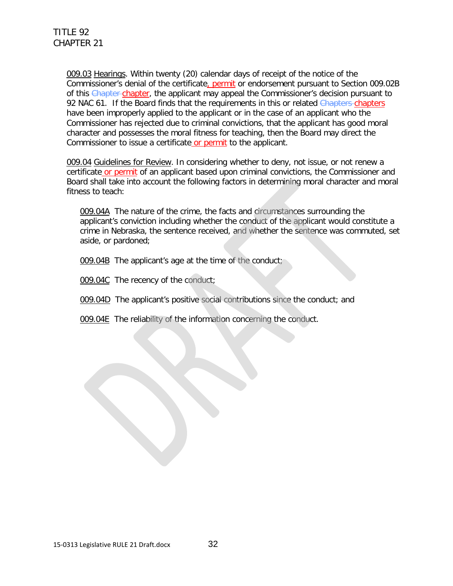009.03 Hearings. Within twenty (20) calendar days of receipt of the notice of the Commissioner's denial of the certificate, permit or endorsement pursuant to Section 009.02B of this Chapter chapter, the applicant may appeal the Commissioner's decision pursuant to 92 NAC 61. If the Board finds that the requirements in this or related Chapters-chapters have been improperly applied to the applicant or in the case of an applicant who the Commissioner has rejected due to criminal convictions, that the applicant has good moral character and possesses the moral fitness for teaching, then the Board may direct the Commissioner to issue a certificate or permit to the applicant.

009.04 Guidelines for Review. In considering whether to deny, not issue, or not renew a certificate or permit of an applicant based upon criminal convictions, the Commissioner and Board shall take into account the following factors in determining moral character and moral fitness to teach:

009.04A The nature of the crime, the facts and circumstances surrounding the applicant's conviction including whether the conduct of the applicant would constitute a crime in Nebraska, the sentence received, and whether the sentence was commuted, set aside, or pardoned;

- 009.04B The applicant's age at the time of the conduct;
- 009.04C The recency of the conduct;
- 009.04D The applicant's positive social contributions since the conduct; and
- 009.04E The reliability of the information concerning the conduct.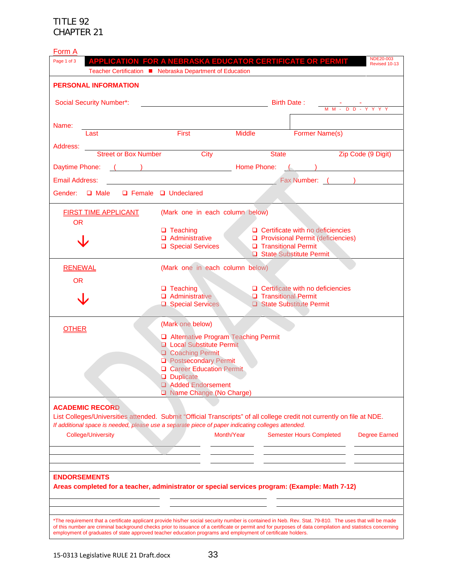| Form A                                                                                                                                                                                                                         |                                                                                                                        |              |                                                                                                                                                                                                                                                                                                                      |  |
|--------------------------------------------------------------------------------------------------------------------------------------------------------------------------------------------------------------------------------|------------------------------------------------------------------------------------------------------------------------|--------------|----------------------------------------------------------------------------------------------------------------------------------------------------------------------------------------------------------------------------------------------------------------------------------------------------------------------|--|
| Page 1 of 3                                                                                                                                                                                                                    |                                                                                                                        |              | NDE20-003<br>APPLICATION_FOR A NEBRASKA EDUCATOR CERTIFICATE OR PERMIT<br>Revised 10-13                                                                                                                                                                                                                              |  |
| Teacher Certification ■ Nebraska Department of Education                                                                                                                                                                       |                                                                                                                        |              |                                                                                                                                                                                                                                                                                                                      |  |
| <b>PERSONAL INFORMATION</b>                                                                                                                                                                                                    |                                                                                                                        |              |                                                                                                                                                                                                                                                                                                                      |  |
|                                                                                                                                                                                                                                |                                                                                                                        |              |                                                                                                                                                                                                                                                                                                                      |  |
| <b>Social Security Number*:</b>                                                                                                                                                                                                |                                                                                                                        |              | Birth Date:<br><u>- - -</u><br>M M - D D - Y Y Y Y                                                                                                                                                                                                                                                                   |  |
|                                                                                                                                                                                                                                |                                                                                                                        |              |                                                                                                                                                                                                                                                                                                                      |  |
| Name:<br>Last                                                                                                                                                                                                                  | ast <b>Example 19 First</b> Middle                                                                                     |              | <b>Former Name(s)</b>                                                                                                                                                                                                                                                                                                |  |
|                                                                                                                                                                                                                                |                                                                                                                        |              |                                                                                                                                                                                                                                                                                                                      |  |
| Address:                                                                                                                                                                                                                       | <b>Street or Box Number</b> City                                                                                       | <b>State</b> | <b>Example 2</b> Zip Code (9 Digit)                                                                                                                                                                                                                                                                                  |  |
| Daytime Phone: ( ) Now Report Report Report Report Report Report Report Report Report Report Report Report Report Report Report Report Report Report Report Report Report Report Report Report Report Report Report Report Rep |                                                                                                                        |              | $\left(\begin{array}{cc} 0 & 0 \end{array}\right)$                                                                                                                                                                                                                                                                   |  |
|                                                                                                                                                                                                                                |                                                                                                                        |              |                                                                                                                                                                                                                                                                                                                      |  |
| <b>Email Address:</b>                                                                                                                                                                                                          | <u> 1989 - Johann Stoff, deutscher Stoffen und der Stoffen und der Stoffen und der Stoffen und der Stoffen und der</u> |              | Fax Number: ( )                                                                                                                                                                                                                                                                                                      |  |
| Gender: Q Male Q Female Q Undeclared                                                                                                                                                                                           |                                                                                                                        |              |                                                                                                                                                                                                                                                                                                                      |  |
| <b>FIRST TIME APPLICANT</b>                                                                                                                                                                                                    | (Mark one in each column below)                                                                                        |              |                                                                                                                                                                                                                                                                                                                      |  |
| <b>OR</b>                                                                                                                                                                                                                      |                                                                                                                        |              |                                                                                                                                                                                                                                                                                                                      |  |
|                                                                                                                                                                                                                                | $\Box$ Teaching                                                                                                        |              | $\Box$ Certificate with no deficiencies                                                                                                                                                                                                                                                                              |  |
|                                                                                                                                                                                                                                | $\Box$ Administrative                                                                                                  |              | □ Provisional Permit (deficiencies)                                                                                                                                                                                                                                                                                  |  |
|                                                                                                                                                                                                                                | □ Special Services                                                                                                     |              | □ Transitional Permit<br>State Substitute Permit                                                                                                                                                                                                                                                                     |  |
| <b>RENEWAL</b>                                                                                                                                                                                                                 | (Mark one in each column below)                                                                                        |              |                                                                                                                                                                                                                                                                                                                      |  |
|                                                                                                                                                                                                                                |                                                                                                                        |              |                                                                                                                                                                                                                                                                                                                      |  |
| <b>OR</b>                                                                                                                                                                                                                      | $\Box$ Teaching                                                                                                        |              | $\Box$ Certificate with no deficiencies                                                                                                                                                                                                                                                                              |  |
|                                                                                                                                                                                                                                | Administrative                                                                                                         |              | <b>D</b> Transitional Permit                                                                                                                                                                                                                                                                                         |  |
|                                                                                                                                                                                                                                | Special Services                                                                                                       |              | State Substitute Permit                                                                                                                                                                                                                                                                                              |  |
|                                                                                                                                                                                                                                |                                                                                                                        |              |                                                                                                                                                                                                                                                                                                                      |  |
| <b>OTHER</b>                                                                                                                                                                                                                   | (Mark one below)                                                                                                       |              |                                                                                                                                                                                                                                                                                                                      |  |
|                                                                                                                                                                                                                                | Alternative Program Teaching Permit<br><b>Q</b> Local Substitute Permit                                                |              |                                                                                                                                                                                                                                                                                                                      |  |
|                                                                                                                                                                                                                                | Coaching Permit                                                                                                        |              |                                                                                                                                                                                                                                                                                                                      |  |
|                                                                                                                                                                                                                                | <b>D</b> Postsecondary Permit                                                                                          |              |                                                                                                                                                                                                                                                                                                                      |  |
|                                                                                                                                                                                                                                | <b>Q</b> Career Education Permit                                                                                       |              |                                                                                                                                                                                                                                                                                                                      |  |
|                                                                                                                                                                                                                                | <b>Duplicate</b>                                                                                                       |              |                                                                                                                                                                                                                                                                                                                      |  |
|                                                                                                                                                                                                                                | Added Endorsement<br>Name Change (No Charge)                                                                           |              |                                                                                                                                                                                                                                                                                                                      |  |
|                                                                                                                                                                                                                                |                                                                                                                        |              |                                                                                                                                                                                                                                                                                                                      |  |
| <b>ACADEMIC RECORD</b>                                                                                                                                                                                                         |                                                                                                                        |              |                                                                                                                                                                                                                                                                                                                      |  |
|                                                                                                                                                                                                                                |                                                                                                                        |              | List Colleges/Universities attended. Submit "Official Transcripts" of all college credit not currently on file at NDE.                                                                                                                                                                                               |  |
| If additional space is needed, please use a separate piece of paper indicating colleges attended.                                                                                                                              |                                                                                                                        | Month/Year   |                                                                                                                                                                                                                                                                                                                      |  |
| <b>College/University</b>                                                                                                                                                                                                      |                                                                                                                        |              | <b>Semester Hours Completed</b><br><b>Degree Earned</b>                                                                                                                                                                                                                                                              |  |
|                                                                                                                                                                                                                                |                                                                                                                        |              |                                                                                                                                                                                                                                                                                                                      |  |
|                                                                                                                                                                                                                                |                                                                                                                        |              |                                                                                                                                                                                                                                                                                                                      |  |
| <b>ENDORSEMENTS</b>                                                                                                                                                                                                            |                                                                                                                        |              |                                                                                                                                                                                                                                                                                                                      |  |
| Areas completed for a teacher, administrator or special services program: (Example: Math 7-12)                                                                                                                                 |                                                                                                                        |              |                                                                                                                                                                                                                                                                                                                      |  |
|                                                                                                                                                                                                                                |                                                                                                                        |              |                                                                                                                                                                                                                                                                                                                      |  |
|                                                                                                                                                                                                                                |                                                                                                                        |              |                                                                                                                                                                                                                                                                                                                      |  |
|                                                                                                                                                                                                                                |                                                                                                                        |              |                                                                                                                                                                                                                                                                                                                      |  |
|                                                                                                                                                                                                                                |                                                                                                                        |              | *The requirement that a certificate applicant provide his/her social security number is contained in Neb. Rev. Stat. 79-810. The uses that will be made<br>of this number are criminal background checks prior to issuance of a certificate or permit and for purposes of data compilation and statistics concerning |  |
| employment of graduates of state approved teacher education programs and employment of certificate holders.                                                                                                                    |                                                                                                                        |              |                                                                                                                                                                                                                                                                                                                      |  |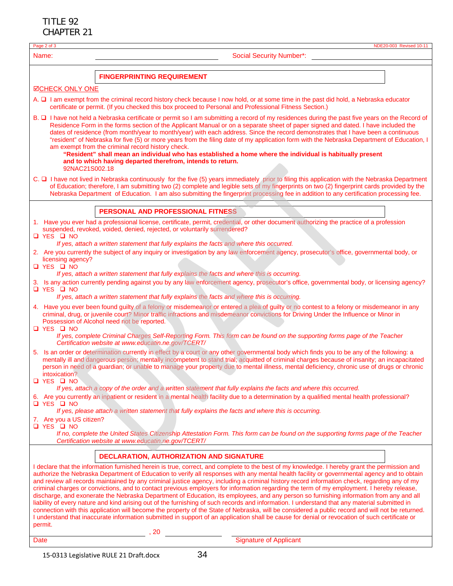| Page 2 of 3                                          | NDE20-003 Revised 10-11                                                                                                                                                                                                                                                                                                                                                                                                                                                                                                                                                                                                                                                                                                                                                                                                                                                                                                                                                                                                                                                                                                                                                                     |
|------------------------------------------------------|---------------------------------------------------------------------------------------------------------------------------------------------------------------------------------------------------------------------------------------------------------------------------------------------------------------------------------------------------------------------------------------------------------------------------------------------------------------------------------------------------------------------------------------------------------------------------------------------------------------------------------------------------------------------------------------------------------------------------------------------------------------------------------------------------------------------------------------------------------------------------------------------------------------------------------------------------------------------------------------------------------------------------------------------------------------------------------------------------------------------------------------------------------------------------------------------|
| Name:                                                | <b>Social Security Number*:</b>                                                                                                                                                                                                                                                                                                                                                                                                                                                                                                                                                                                                                                                                                                                                                                                                                                                                                                                                                                                                                                                                                                                                                             |
|                                                      | <b>FINGERPRINTING REQUIREMENT</b>                                                                                                                                                                                                                                                                                                                                                                                                                                                                                                                                                                                                                                                                                                                                                                                                                                                                                                                                                                                                                                                                                                                                                           |
| <b>ØCHECK ONLY ONE</b>                               |                                                                                                                                                                                                                                                                                                                                                                                                                                                                                                                                                                                                                                                                                                                                                                                                                                                                                                                                                                                                                                                                                                                                                                                             |
|                                                      | A. $\square$ I am exempt from the criminal record history check because I now hold, or at some time in the past did hold, a Nebraska educator<br>certificate or permit. (If you checked this box proceed to Personal and Professional Fitness Section.)                                                                                                                                                                                                                                                                                                                                                                                                                                                                                                                                                                                                                                                                                                                                                                                                                                                                                                                                     |
| 92NAC21S002.18                                       | B. $\Box$ I have not held a Nebraska certificate or permit so I am submitting a record of my residences during the past five years on the Record of<br>Residence Form in the forms section of the Applicant Manual or on a separate sheet of paper signed and dated. I have included the<br>dates of residence (from month/year to month/year) with each address. Since the record demonstrates that I have been a continuous<br>"resident" of Nebraska for five (5) or more years from the filing date of my application form with the Nebraska Department of Education, I<br>am exempt from the criminal record history check.<br>"Resident" shall mean an individual who has established a home where the individual is habitually present<br>and to which having departed therefrom, intends to return.                                                                                                                                                                                                                                                                                                                                                                                 |
|                                                      | C. □ I have not lived in Nebraska continuously for the five (5) years immediately prior to filing this application with the Nebraska Department<br>of Education; therefore, I am submitting two (2) complete and legible sets of my fingerprints on two (2) fingerprint cards provided by the<br>Nebraska Department of Education. I am also submitting the fingerprint processing fee in addition to any certification processing fee.                                                                                                                                                                                                                                                                                                                                                                                                                                                                                                                                                                                                                                                                                                                                                     |
|                                                      | PERSONAL AND PROFESSIONAL FITNESS                                                                                                                                                                                                                                                                                                                                                                                                                                                                                                                                                                                                                                                                                                                                                                                                                                                                                                                                                                                                                                                                                                                                                           |
| <b>Q</b> YES Q NO                                    | 1. Have you ever had a professional license, certificate, permit, credential, or other document authorizing the practice of a profession<br>suspended, revoked, voided, denied, rejected, or voluntarily surrendered?                                                                                                                                                                                                                                                                                                                                                                                                                                                                                                                                                                                                                                                                                                                                                                                                                                                                                                                                                                       |
|                                                      | If yes, attach a written statement that fully explains the facts and where this occurred.                                                                                                                                                                                                                                                                                                                                                                                                                                                                                                                                                                                                                                                                                                                                                                                                                                                                                                                                                                                                                                                                                                   |
| licensing agency?<br><b>Q</b> YES <b>Q</b> NO        | 2. Are you currently the subject of any inquiry or investigation by any law enforcement agency, prosecutor's office, governmental body, or                                                                                                                                                                                                                                                                                                                                                                                                                                                                                                                                                                                                                                                                                                                                                                                                                                                                                                                                                                                                                                                  |
|                                                      | If yes, attach a written statement that fully explains the facts and where this is occurring.<br>3. Is any action currently pending against you by any law enforcement agency, prosecutor's office, governmental body, or licensing agency?                                                                                                                                                                                                                                                                                                                                                                                                                                                                                                                                                                                                                                                                                                                                                                                                                                                                                                                                                 |
| <b>Q</b> YES <b>Q</b> NO                             | If yes, attach a written statement that fully explains the facts and where this is occurring.                                                                                                                                                                                                                                                                                                                                                                                                                                                                                                                                                                                                                                                                                                                                                                                                                                                                                                                                                                                                                                                                                               |
| Q YES Q NO                                           | 4. Have you ever been found guilty of a felony or misdemeanor or entered a plea of guilty or no contest to a felony or misdemeanor in any<br>criminal, drug, or juvenile court? Minor traffic infractions and misdemeanor convictions for Driving Under the Influence or Minor in<br>Possession of Alcohol need not be reported.                                                                                                                                                                                                                                                                                                                                                                                                                                                                                                                                                                                                                                                                                                                                                                                                                                                            |
|                                                      | If yes, complete Criminal Charges Self-Reporting Form. This form can be found on the supporting forms page of the Teacher<br>Certification website at www.educatin.ne.gov/TCERT/                                                                                                                                                                                                                                                                                                                                                                                                                                                                                                                                                                                                                                                                                                                                                                                                                                                                                                                                                                                                            |
| intoxication?<br><b>□ YES □ NO</b>                   | 5. Is an order or determination currently in effect by a court or any other governmental body which finds you to be any of the following: a<br>mentally ill and dangerous person; mentally incompetent to stand trial; acquitted of criminal charges because of insanity; an incapacitated<br>person in need of a guardian; or unable to manage your property due to mental illness, mental deficiency, chronic use of drugs or chronic                                                                                                                                                                                                                                                                                                                                                                                                                                                                                                                                                                                                                                                                                                                                                     |
|                                                      | If yes, attach a copy of the order and a written statement that fully explains the facts and where this occurred.<br>6. Are you currently an inpatient or resident in a mental health facility due to a determination by a qualified mental health professional?                                                                                                                                                                                                                                                                                                                                                                                                                                                                                                                                                                                                                                                                                                                                                                                                                                                                                                                            |
| $\Box$ YES $\Box$ NO                                 | If yes, please attach a written statement that fully explains the facts and where this is occurring.                                                                                                                                                                                                                                                                                                                                                                                                                                                                                                                                                                                                                                                                                                                                                                                                                                                                                                                                                                                                                                                                                        |
| 7. Are you a US citizen?<br><b>O</b> YES <b>D</b> NO |                                                                                                                                                                                                                                                                                                                                                                                                                                                                                                                                                                                                                                                                                                                                                                                                                                                                                                                                                                                                                                                                                                                                                                                             |
|                                                      | If no, complete the United States Citizenship Attestation Form. This form can be found on the supporting forms page of the Teacher<br>Certification website at www.educatin.ne.gov/TCERT/                                                                                                                                                                                                                                                                                                                                                                                                                                                                                                                                                                                                                                                                                                                                                                                                                                                                                                                                                                                                   |
|                                                      | DECLARATION, AUTHORIZATION AND SIGNATURE                                                                                                                                                                                                                                                                                                                                                                                                                                                                                                                                                                                                                                                                                                                                                                                                                                                                                                                                                                                                                                                                                                                                                    |
| permit.                                              | I declare that the information furnished herein is true, correct, and complete to the best of my knowledge. I hereby grant the permission and<br>authorize the Nebraska Department of Education to verify all responses with any mental health facility or governmental agency and to obtain<br>and review all records maintained by any criminal justice agency, including a criminal history record information check, regarding any of my<br>criminal charges or convictions, and to contact previous employers for information regarding the term of my employment. I hereby release,<br>discharge, and exonerate the Nebraska Department of Education, its employees, and any person so furnishing information from any and all<br>liability of every nature and kind arising out of the furnishing of such records and information. I understand that any material submitted in<br>connection with this application will become the property of the State of Nebraska, will be considered a public record and will not be returned.<br>I understand that inaccurate information submitted in support of an application shall be cause for denial or revocation of such certificate or |
|                                                      | $\sim$ , 20                                                                                                                                                                                                                                                                                                                                                                                                                                                                                                                                                                                                                                                                                                                                                                                                                                                                                                                                                                                                                                                                                                                                                                                 |
| Date                                                 | <b>Signature of Applicant</b>                                                                                                                                                                                                                                                                                                                                                                                                                                                                                                                                                                                                                                                                                                                                                                                                                                                                                                                                                                                                                                                                                                                                                               |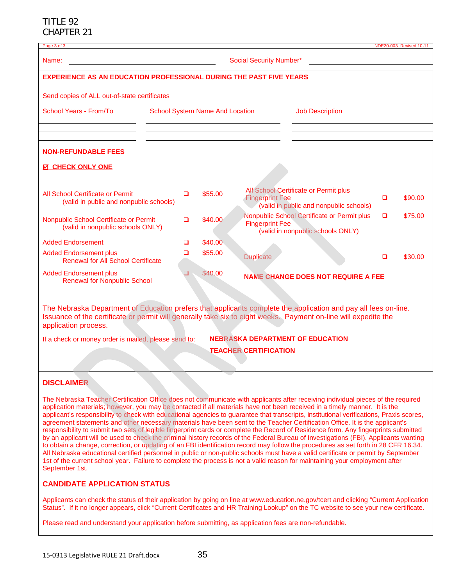| Page 3 of 3                                                                                                                                                                                                                                                                                                                                                                                                                                                                                                                                                                                                                                                                                                                                                                                                                                                                                                                                                                                                                                                                                                                                                                                                                                            |                                        |         |                        |                                                                                  |   | NDE20-003 Revised 10-11 |
|--------------------------------------------------------------------------------------------------------------------------------------------------------------------------------------------------------------------------------------------------------------------------------------------------------------------------------------------------------------------------------------------------------------------------------------------------------------------------------------------------------------------------------------------------------------------------------------------------------------------------------------------------------------------------------------------------------------------------------------------------------------------------------------------------------------------------------------------------------------------------------------------------------------------------------------------------------------------------------------------------------------------------------------------------------------------------------------------------------------------------------------------------------------------------------------------------------------------------------------------------------|----------------------------------------|---------|------------------------|----------------------------------------------------------------------------------|---|-------------------------|
| <b>Social Security Number*</b><br>Name:                                                                                                                                                                                                                                                                                                                                                                                                                                                                                                                                                                                                                                                                                                                                                                                                                                                                                                                                                                                                                                                                                                                                                                                                                |                                        |         |                        |                                                                                  |   |                         |
| <b>EXPERIENCE AS AN EDUCATION PROFESSIONAL DURING THE PAST FIVE YEARS</b>                                                                                                                                                                                                                                                                                                                                                                                                                                                                                                                                                                                                                                                                                                                                                                                                                                                                                                                                                                                                                                                                                                                                                                              |                                        |         |                        |                                                                                  |   |                         |
| Send copies of ALL out-of-state certificates                                                                                                                                                                                                                                                                                                                                                                                                                                                                                                                                                                                                                                                                                                                                                                                                                                                                                                                                                                                                                                                                                                                                                                                                           |                                        |         |                        |                                                                                  |   |                         |
| School Years - From/To                                                                                                                                                                                                                                                                                                                                                                                                                                                                                                                                                                                                                                                                                                                                                                                                                                                                                                                                                                                                                                                                                                                                                                                                                                 | <b>School System Name And Location</b> |         |                        | <b>Job Description</b>                                                           |   |                         |
|                                                                                                                                                                                                                                                                                                                                                                                                                                                                                                                                                                                                                                                                                                                                                                                                                                                                                                                                                                                                                                                                                                                                                                                                                                                        |                                        |         |                        |                                                                                  |   |                         |
| <b>NON-REFUNDABLE FEES</b>                                                                                                                                                                                                                                                                                                                                                                                                                                                                                                                                                                                                                                                                                                                                                                                                                                                                                                                                                                                                                                                                                                                                                                                                                             |                                        |         |                        |                                                                                  |   |                         |
| <b>M CHECK ONLY ONE</b>                                                                                                                                                                                                                                                                                                                                                                                                                                                                                                                                                                                                                                                                                                                                                                                                                                                                                                                                                                                                                                                                                                                                                                                                                                |                                        |         |                        |                                                                                  |   |                         |
| All School Certificate or Permit<br>(valid in public and nonpublic schools)                                                                                                                                                                                                                                                                                                                                                                                                                                                                                                                                                                                                                                                                                                                                                                                                                                                                                                                                                                                                                                                                                                                                                                            | $\Box$                                 | \$55.00 | <b>Fingerprint Fee</b> | All School Certificate or Permit plus<br>(valid in public and nonpublic schools) | □ | \$90.00                 |
| Nonpublic School Certificate or Permit<br>(valid in nonpublic schools ONLY)                                                                                                                                                                                                                                                                                                                                                                                                                                                                                                                                                                                                                                                                                                                                                                                                                                                                                                                                                                                                                                                                                                                                                                            | ▫                                      | \$40.00 | <b>Fingerprint Fee</b> | Nonpublic School Certificate or Permit plus<br>(valid in nonpublic schools ONLY) | o | \$75.00                 |
| <b>Added Endorsement</b>                                                                                                                                                                                                                                                                                                                                                                                                                                                                                                                                                                                                                                                                                                                                                                                                                                                                                                                                                                                                                                                                                                                                                                                                                               | О                                      | \$40.00 |                        |                                                                                  |   |                         |
| <b>Added Endorsement plus</b><br><b>Renewal for All School Certificate</b>                                                                                                                                                                                                                                                                                                                                                                                                                                                                                                                                                                                                                                                                                                                                                                                                                                                                                                                                                                                                                                                                                                                                                                             | □                                      | \$55.00 | <b>Duplicate</b>       |                                                                                  | □ | \$30.00                 |
| <b>Added Endorsement plus</b><br><b>Renewal for Nonpublic School</b>                                                                                                                                                                                                                                                                                                                                                                                                                                                                                                                                                                                                                                                                                                                                                                                                                                                                                                                                                                                                                                                                                                                                                                                   | ❏                                      | \$40.00 |                        | <b>NAME CHANGE DOES NOT REQUIRE A FEE</b>                                        |   |                         |
| The Nebraska Department of Education prefers that applicants complete the application and pay all fees on-line.<br>Issuance of the certificate or permit will generally take six to eight weeks. Payment on-line will expedite the<br>application process.                                                                                                                                                                                                                                                                                                                                                                                                                                                                                                                                                                                                                                                                                                                                                                                                                                                                                                                                                                                             |                                        |         |                        |                                                                                  |   |                         |
| If a check or money order is mailed, please send to:                                                                                                                                                                                                                                                                                                                                                                                                                                                                                                                                                                                                                                                                                                                                                                                                                                                                                                                                                                                                                                                                                                                                                                                                   |                                        |         |                        | <b>NEBRASKA DEPARTMENT OF EDUCATION</b>                                          |   |                         |
| <b>TEACHER CERTIFICATION</b>                                                                                                                                                                                                                                                                                                                                                                                                                                                                                                                                                                                                                                                                                                                                                                                                                                                                                                                                                                                                                                                                                                                                                                                                                           |                                        |         |                        |                                                                                  |   |                         |
|                                                                                                                                                                                                                                                                                                                                                                                                                                                                                                                                                                                                                                                                                                                                                                                                                                                                                                                                                                                                                                                                                                                                                                                                                                                        |                                        |         |                        |                                                                                  |   |                         |
| <b>DISCLAIMER</b>                                                                                                                                                                                                                                                                                                                                                                                                                                                                                                                                                                                                                                                                                                                                                                                                                                                                                                                                                                                                                                                                                                                                                                                                                                      |                                        |         |                        |                                                                                  |   |                         |
| The Nebraska Teacher Certification Office does not communicate with applicants after receiving individual pieces of the required<br>application materials; however, you may be contacted if all materials have not been received in a timely manner. It is the<br>applicant's responsibility to check with educational agencies to guarantee that transcripts, institutional verifications, Praxis scores,<br>agreement statements and other necessary materials have been sent to the Teacher Certification Office. It is the applicant's<br>responsibility to submit two sets of legible fingerprint cards or complete the Record of Residence form. Any fingerprints submitted<br>by an applicant will be used to check the criminal history records of the Federal Bureau of Investigations (FBI). Applicants wanting<br>to obtain a change, correction, or updating of an FBI identification record may follow the procedures as set forth in 28 CFR 16.34.<br>All Nebraska educational certified personnel in public or non-public schools must have a valid certificate or permit by September<br>1st of the current school year. Failure to complete the process is not a valid reason for maintaining your employment after<br>September 1st. |                                        |         |                        |                                                                                  |   |                         |

#### **CANDIDATE APPLICATION STATUS**

Applicants can check the status of their application by going on line at www.education.ne.gov/tcert and clicking "Current Application Status". If it no longer appears, click "Current Certificates and HR Training Lookup" on the TC website to see your new certificate.

Please read and understand your application before submitting, as application fees are non-refundable.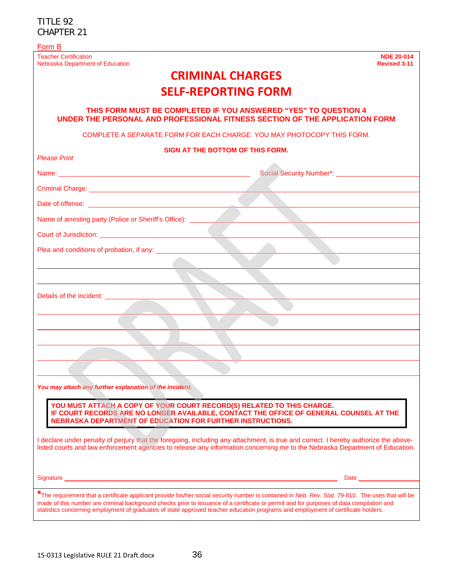| Form B                                                                                                                                                                                                                                                                                                                                                                                                                                                                                                       |
|--------------------------------------------------------------------------------------------------------------------------------------------------------------------------------------------------------------------------------------------------------------------------------------------------------------------------------------------------------------------------------------------------------------------------------------------------------------------------------------------------------------|
| <b>Teacher Certification</b><br><b>NDE 20-014</b><br>Nebraska Department of Education<br><b>Revised 3-11</b>                                                                                                                                                                                                                                                                                                                                                                                                 |
| <b>CRIMINAL CHARGES</b>                                                                                                                                                                                                                                                                                                                                                                                                                                                                                      |
| <b>SELF-REPORTING FORM</b>                                                                                                                                                                                                                                                                                                                                                                                                                                                                                   |
| THIS FORM MUST BE COMPLETED IF YOU ANSWERED "YES" TO QUESTION 4<br>UNDER THE PERSONAL AND PROFESSIONAL FITNESS SECTION OF THE APPLICATION FORM                                                                                                                                                                                                                                                                                                                                                               |
| COMPLETE A SEPARATE FORM FOR EACH CHARGE, YOU MAY PHOTOCOPY THIS FORM.                                                                                                                                                                                                                                                                                                                                                                                                                                       |
| SIGN AT THE BOTTOM OF THIS FORM.<br><b>Please Print</b>                                                                                                                                                                                                                                                                                                                                                                                                                                                      |
| Name: <u>2000 - 2000 - 2000 - 2000 - 2000 - 2000 - 2000 - 2000 - 2000 - 2000 - 2000 - 2000 - 2000 - 2000 - 2000 - 2000 - 2000 - 2000 - 2000 - 2000 - 2000 - 2000 - 2000 - 2000 - 2000 - 2000 - 2000 - 2000 - 2000 - 2000 - 2000 </u><br>Social Security Number*: _______________                                                                                                                                                                                                                             |
|                                                                                                                                                                                                                                                                                                                                                                                                                                                                                                              |
| Date of offense: <u>contract and the set of offense</u> and the set of offense and the set of the set of the set of the                                                                                                                                                                                                                                                                                                                                                                                      |
| Name of arresting party (Police or Sheriff's Office): <u>Community of a set of the set of the set of the set of the set of the set of the set of the set of the set of the set of the set of the set of the set of the set of th</u>                                                                                                                                                                                                                                                                         |
|                                                                                                                                                                                                                                                                                                                                                                                                                                                                                                              |
|                                                                                                                                                                                                                                                                                                                                                                                                                                                                                                              |
|                                                                                                                                                                                                                                                                                                                                                                                                                                                                                                              |
|                                                                                                                                                                                                                                                                                                                                                                                                                                                                                                              |
| Details of the incident: <u>______________________</u>                                                                                                                                                                                                                                                                                                                                                                                                                                                       |
|                                                                                                                                                                                                                                                                                                                                                                                                                                                                                                              |
|                                                                                                                                                                                                                                                                                                                                                                                                                                                                                                              |
|                                                                                                                                                                                                                                                                                                                                                                                                                                                                                                              |
|                                                                                                                                                                                                                                                                                                                                                                                                                                                                                                              |
| You may attach any further explanation of the incident.                                                                                                                                                                                                                                                                                                                                                                                                                                                      |
| YOU MUST ATTACH A COPY OF YOUR COURT RECORD(S) RELATED TO THIS CHARGE.<br>IF COURT RECORDS ARE NO LONGER AVAILABLE, CONTACT THE OFFICE OF GENERAL COUNSEL AT THE<br><b>NEBRASKA DEPARTMENT OF EDUCATION FOR FURTHER INSTRUCTIONS.</b><br>I declare under penalty of perjury that the foregoing, including any attachment, is true and correct. I hereby authorize the above-<br>listed courts and law enforcement agencies to release any information concerning me to the Nebraska Department of Education. |
| Signature _____<br>Date                                                                                                                                                                                                                                                                                                                                                                                                                                                                                      |
| The requirement that a certificate applicant provide his/her social security number is contained in Neb. Rev. Stat. 79-810. The uses that will be<br>made of this number are criminal background checks prior to issuance of a certificate or permit and for purposes of data compilation and<br>statistics concerning employment of graduates of state approved teacher education programs and employment of certificate holders.                                                                           |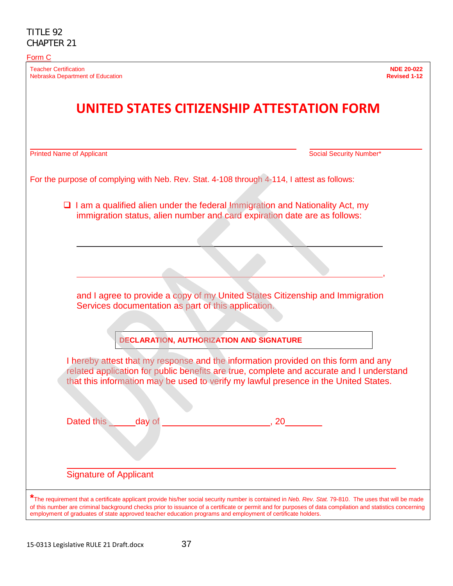#### Form C

Teacher Certification **NDE 20-022 Nebraska Department of Education** 

# **UNITED STATES CITIZENSHIP ATTESTATION FORM**

Printed Name of Applicant Name of Applicant Social Security Number\* Social Security Number\*

|                               |                                                                           |    | $\Box$ I am a qualified alien under the federal Immigration and Nationality Act, my                                                                                                                                                                                    |  |
|-------------------------------|---------------------------------------------------------------------------|----|------------------------------------------------------------------------------------------------------------------------------------------------------------------------------------------------------------------------------------------------------------------------|--|
|                               | immigration status, alien number and card expiration date are as follows: |    |                                                                                                                                                                                                                                                                        |  |
|                               |                                                                           |    |                                                                                                                                                                                                                                                                        |  |
|                               |                                                                           |    |                                                                                                                                                                                                                                                                        |  |
|                               |                                                                           |    |                                                                                                                                                                                                                                                                        |  |
|                               |                                                                           |    |                                                                                                                                                                                                                                                                        |  |
|                               | Services documentation as part of this application.                       |    | and I agree to provide a copy of my United States Citizenship and Immigration                                                                                                                                                                                          |  |
|                               |                                                                           |    |                                                                                                                                                                                                                                                                        |  |
|                               |                                                                           |    |                                                                                                                                                                                                                                                                        |  |
|                               | <b>DECLARATION, AUTHORIZATION AND SIGNATURE</b>                           |    |                                                                                                                                                                                                                                                                        |  |
|                               |                                                                           |    | I hereby attest that my response and the information provided on this form and any<br>related application for public benefits are true, complete and accurate and I understand<br>that this information may be used to verify my lawful presence in the United States. |  |
|                               |                                                                           |    |                                                                                                                                                                                                                                                                        |  |
|                               |                                                                           |    |                                                                                                                                                                                                                                                                        |  |
| Dated this day of             |                                                                           | 20 |                                                                                                                                                                                                                                                                        |  |
|                               |                                                                           |    |                                                                                                                                                                                                                                                                        |  |
|                               |                                                                           |    |                                                                                                                                                                                                                                                                        |  |
|                               |                                                                           |    |                                                                                                                                                                                                                                                                        |  |
| <b>Signature of Applicant</b> |                                                                           |    |                                                                                                                                                                                                                                                                        |  |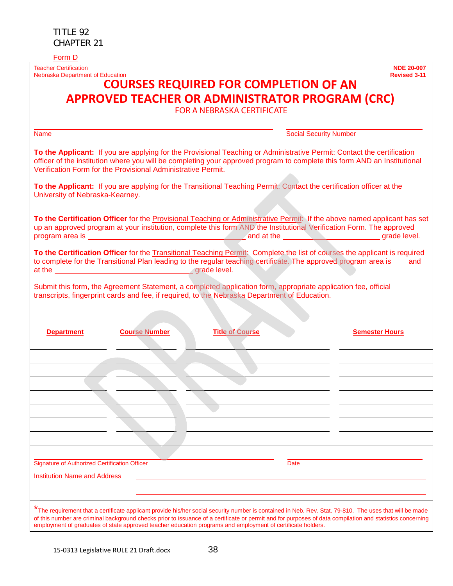Teacher Certification **NDE 20-007 Nebraska Department of Education** 

## **COURSES REQUIRED FOR COMPLETION OF AN APPROVED TEACHER OR ADMINISTRATOR PROGRAM (CRC)**

FOR A NEBRASKA CERTIFICATE

| <b>Name</b>                                                  |                                                                                                                                                                                                                                                                                                                                                                                                                                    | <b>Social Security Number</b> |
|--------------------------------------------------------------|------------------------------------------------------------------------------------------------------------------------------------------------------------------------------------------------------------------------------------------------------------------------------------------------------------------------------------------------------------------------------------------------------------------------------------|-------------------------------|
| Verification Form for the Provisional Administrative Permit. | To the Applicant: If you are applying for the Provisional Teaching or Administrative Permit: Contact the certification<br>officer of the institution where you will be completing your approved program to complete this form AND an Institutional                                                                                                                                                                                 |                               |
| University of Nebraska-Kearney.                              | To the Applicant: If you are applying for the Transitional Teaching Permit: Contact the certification officer at the                                                                                                                                                                                                                                                                                                               |                               |
|                                                              | To the Certification Officer for the Provisional Teaching or Administrative Permit: If the above named applicant has set<br>up an approved program at your institution, complete this form AND the Institutional Verification Form. The approved                                                                                                                                                                                   |                               |
|                                                              | To the Certification Officer for the Transitional Teaching Permit: Complete the list of courses the applicant is required<br>to complete for the Transitional Plan leading to the regular teaching certificate. The approved program area is __ and                                                                                                                                                                                |                               |
|                                                              | Submit this form, the Agreement Statement, a completed application form, appropriate application fee, official<br>transcripts, fingerprint cards and fee, if required, to the Nebraska Department of Education.                                                                                                                                                                                                                    |                               |
| <b>Department</b><br><b>Course Number</b>                    | <b>Title of Course</b>                                                                                                                                                                                                                                                                                                                                                                                                             | <b>Semester Hours</b>         |
|                                                              |                                                                                                                                                                                                                                                                                                                                                                                                                                    |                               |
|                                                              |                                                                                                                                                                                                                                                                                                                                                                                                                                    |                               |
|                                                              |                                                                                                                                                                                                                                                                                                                                                                                                                                    |                               |
|                                                              |                                                                                                                                                                                                                                                                                                                                                                                                                                    |                               |
| <b>Signature of Authorized Certification Officer</b>         | Date                                                                                                                                                                                                                                                                                                                                                                                                                               |                               |
| <b>Institution Name and Address</b>                          |                                                                                                                                                                                                                                                                                                                                                                                                                                    |                               |
|                                                              | The requirement that a certificate applicant provide his/her social security number is contained in Neb. Rev. Stat. 79-810. The uses that will be made<br>of this number are criminal background checks prior to issuance of a certificate or permit and for purposes of data compilation and statistics concerning<br>employment of graduates of state approved teacher education programs and employment of certificate holders. |                               |